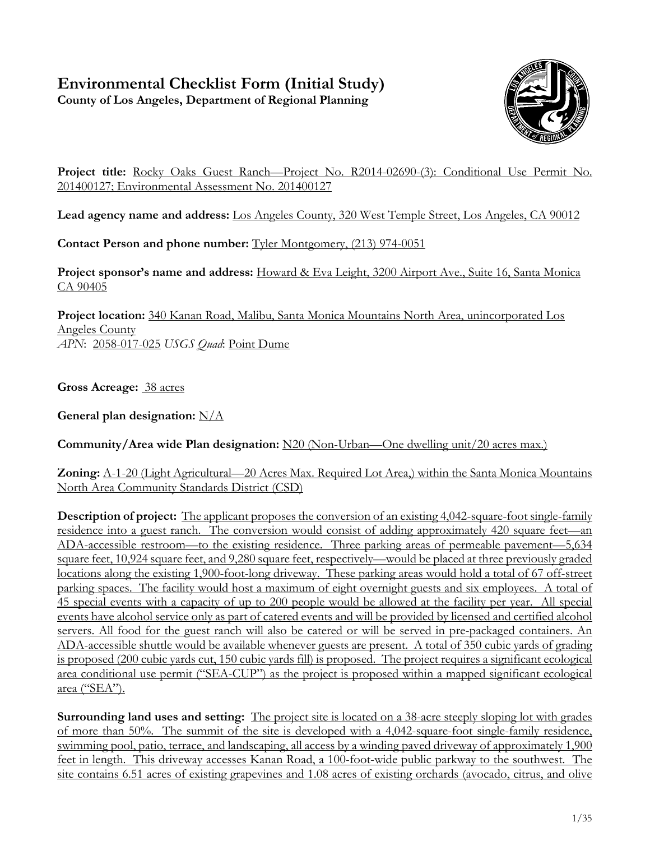# **Environmental Checklist Form (Initial Study)**

**County of Los Angeles, Department of Regional Planning**



**Project title:** Rocky Oaks Guest Ranch—Project No. R2014-02690-(3): Conditional Use Permit No. 201400127; Environmental Assessment No. 201400127

**Lead agency name and address:** Los Angeles County, 320 West Temple Street, Los Angeles, CA 90012

**Contact Person and phone number:** Tyler Montgomery, (213) 974-0051

**Project sponsor's name and address:** Howard & Eva Leight, 3200 Airport Ave., Suite 16, Santa Monica CA 90405

**Project location:** 340 Kanan Road, Malibu, Santa Monica Mountains North Area, unincorporated Los Angeles County *APN*: 2058-017-025 *USGS Quad*: Point Dume

**Gross Acreage:** 38 acres

**General plan designation:** N/A

**Community/Area wide Plan designation:** N20 (Non-Urban—One dwelling unit/20 acres max.)

**Zoning:** A-1-20 (Light Agricultural—20 Acres Max. Required Lot Area,) within the Santa Monica Mountains North Area Community Standards District (CSD)

**Description of project:** The applicant proposes the conversion of an existing 4,042-square-foot single-family residence into a guest ranch. The conversion would consist of adding approximately 420 square feet—an ADA-accessible restroom—to the existing residence. Three parking areas of permeable pavement—5,634 square feet, 10,924 square feet, and 9,280 square feet, respectively—would be placed at three previously graded locations along the existing 1,900-foot-long driveway. These parking areas would hold a total of 67 off-street parking spaces. The facility would host a maximum of eight overnight guests and six employees. A total of 45 special events with a capacity of up to 200 people would be allowed at the facility per year. All special events have alcohol service only as part of catered events and will be provided by licensed and certified alcohol servers. All food for the guest ranch will also be catered or will be served in pre-packaged containers. An ADA-accessible shuttle would be available whenever guests are present. A total of 350 cubic yards of grading is proposed (200 cubic yards cut, 150 cubic yards fill) is proposed. The project requires a significant ecological area conditional use permit ("SEA-CUP") as the project is proposed within a mapped significant ecological area ("SEA").

**Surrounding land uses and setting:** The project site is located on a 38-acre steeply sloping lot with grades of more than 50%. The summit of the site is developed with a 4,042-square-foot single-family residence, swimming pool, patio, terrace, and landscaping, all access by a winding paved driveway of approximately 1,900 feet in length. This driveway accesses Kanan Road, a 100-foot-wide public parkway to the southwest. The site contains 6.51 acres of existing grapevines and 1.08 acres of existing orchards (avocado, citrus, and olive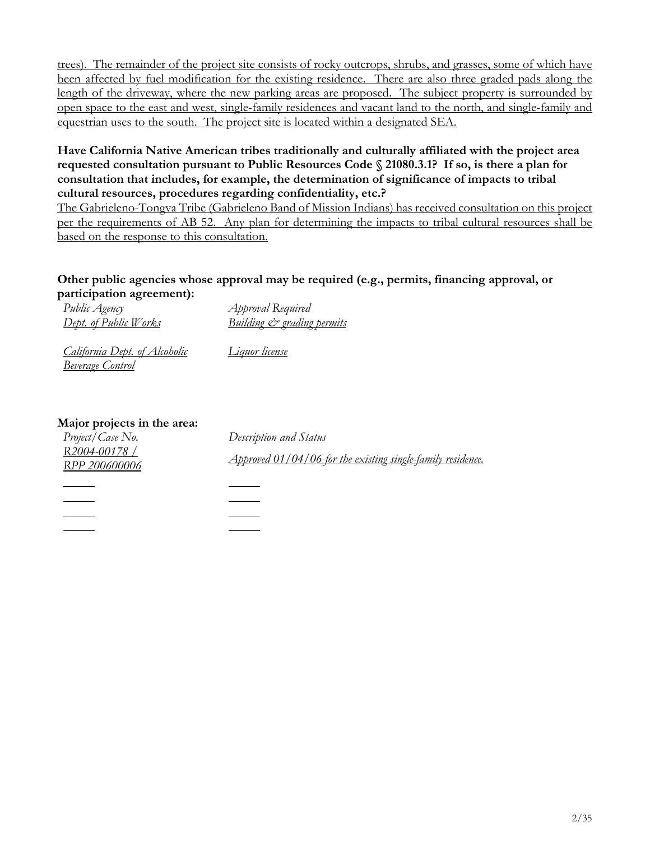trees). The remainder of the project site consists of rocky outcrops, shrubs, and grasses, some of which have been affected by fuel modification for the existing residence. There are also three graded pads along the length of the driveway, where the new parking areas are proposed. The subject property is surrounded by open space to the east and west, single-family residences and vacant land to the north, and single-family and equestrian uses to the south. The project site is located within a designated SEA.

#### **Have California Native American tribes traditionally and culturally affiliated with the project area requested consultation pursuant to Public Resources Code § 21080.3.1? If so, is there a plan for consultation that includes, for example, the determination of significance of impacts to tribal cultural resources, procedures regarding confidentiality, etc.?**

The Gabrieleno-Tongva Tribe (Gabrieleno Band of Mission Indians) has received consultation on this project per the requirements of AB 52. Any plan for determining the impacts to tribal cultural resources shall be based on the response to this consultation.

#### **Other public agencies whose approval may be required (e.g., permits, financing approval, or participation agreement):**

| Public Agency                        | <i>Approval</i> Required              |
|--------------------------------------|---------------------------------------|
| <u>Dept. of Public Works</u>         | <u>Building &amp; grading permits</u> |
| <u>California Dept. of Alcoholic</u> | <u>Liquor license</u>                 |

#### **Major projects in the area:**

*Beverage Control*

| .<br>Project/Case No. | Description and Status                                        |
|-----------------------|---------------------------------------------------------------|
| R2004-00178 /         | Approved $01/04/06$ for the existing single-family residence. |
| RPP 200600006         |                                                               |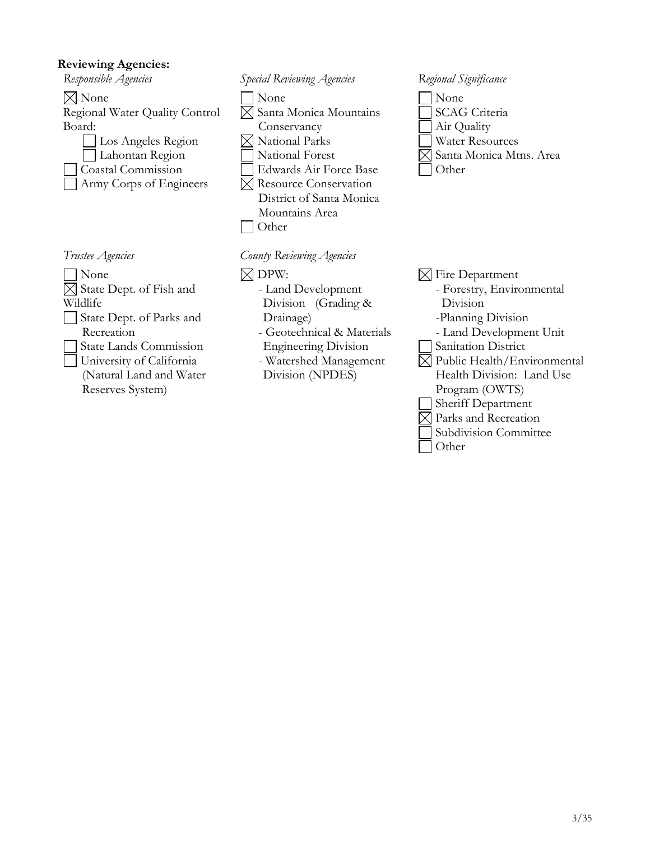#### **Reviewing Agencies:**



None  $\boxtimes$  State Dept. of Fish and Wildlife State Dept. of Parks and Recreation State Lands Commission

University of California (Natural Land and Water Reserves System)



- None  $\boxtimes$  Santa Monica Mountains Conservancy National Parks National Forest Edwards Air Force Base Resource Conservation District of Santa Monica Mountains Area Other
- *Trustee Agencies County Reviewing Agencies*
	- $\boxtimes$  DPW: - Land Development Division (Grading & Drainage) - Geotechnical & Materials Engineering Division - Watershed Management Division (NPDES)

None SCAG Criteria Air Quality Water Resources  $\times$  Santa Monica Mtns. Area **Other** 

- $\boxtimes$  Fire Department
	- Forestry, Environmental Division
	- -Planning Division
	- Land Development Unit
- Sanitation District
- $\boxtimes$  Public Health/Environmental Health Division: Land Use Program (OWTS)
- Sheriff Department
- $\boxtimes$  Parks and Recreation
	- Subdivision Committee
- Other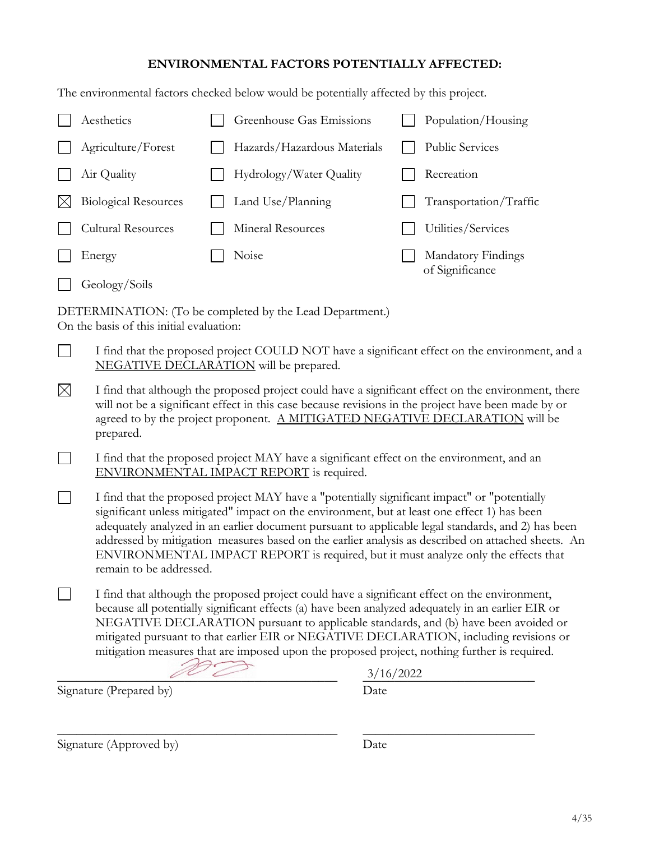#### **ENVIRONMENTAL FACTORS POTENTIALLY AFFECTED:**

The environmental factors checked below would be potentially affected by this project.

|        | Aesthetics                  | Greenhouse Gas Emissions    | Population/Housing                    |
|--------|-----------------------------|-----------------------------|---------------------------------------|
|        | Agriculture/Forest          | Hazards/Hazardous Materials | <b>Public Services</b>                |
|        | Air Quality                 | Hydrology/Water Quality     | Recreation                            |
|        | <b>Biological Resources</b> | Land Use/Planning           | Transportation/Traffic                |
|        | <b>Cultural Resources</b>   | Mineral Resources           | Utilities/Services                    |
| Energy |                             | Noise                       | Mandatory Findings<br>of Significance |
|        | Geology/Soils               |                             |                                       |

DETERMINATION: (To be completed by the Lead Department.) On the basis of this initial evaluation:

- I find that the proposed project COULD NOT have a significant effect on the environment, and a  $\Box$ NEGATIVE DECLARATION will be prepared.
- $\boxtimes$ I find that although the proposed project could have a significant effect on the environment, there will not be a significant effect in this case because revisions in the project have been made by or agreed to by the project proponent. A MITIGATED NEGATIVE DECLARATION will be prepared.
- $\Box$ I find that the proposed project MAY have a significant effect on the environment, and an ENVIRONMENTAL IMPACT REPORT is required.
- $\Box$ I find that the proposed project MAY have a "potentially significant impact" or "potentially significant unless mitigated" impact on the environment, but at least one effect 1) has been adequately analyzed in an earlier document pursuant to applicable legal standards, and 2) has been addressed by mitigation measures based on the earlier analysis as described on attached sheets. An ENVIRONMENTAL IMPACT REPORT is required, but it must analyze only the effects that remain to be addressed.
- $\Box$ I find that although the proposed project could have a significant effect on the environment, because all potentially significant effects (a) have been analyzed adequately in an earlier EIR or NEGATIVE DECLARATION pursuant to applicable standards, and (b) have been avoided or mitigated pursuant to that earlier EIR or NEGATIVE DECLARATION, including revisions or mitigation measures that are imposed upon the proposed project, nothing further is required.

\_\_\_\_\_\_\_\_\_\_\_\_\_\_\_\_\_\_\_\_\_\_\_\_\_\_\_\_\_\_\_\_\_\_\_\_\_\_\_\_\_\_\_\_ \_\_\_\_\_\_\_\_\_\_\_\_\_\_\_\_\_\_\_\_\_\_\_\_\_\_\_

Signature (Prepared by) Date

 $\frac{3/16/2022}{2}$ 3/16/2022

Signature (Approved by) Date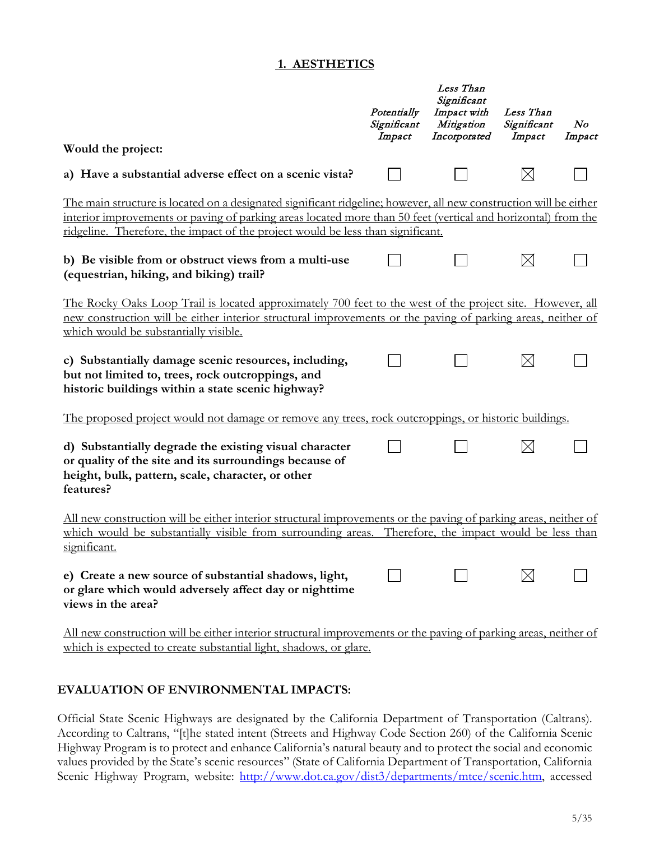#### **1. AESTHETICS**

|                                                                                                                                                                                                                                                                                                                              | Potentially<br>Significant<br>Impact | Less Than<br>Significant<br>Impact with<br>Mitigation<br>Incorporated | Less Than<br>Significant<br>Impact | N o<br>Impact |
|------------------------------------------------------------------------------------------------------------------------------------------------------------------------------------------------------------------------------------------------------------------------------------------------------------------------------|--------------------------------------|-----------------------------------------------------------------------|------------------------------------|---------------|
| Would the project:                                                                                                                                                                                                                                                                                                           |                                      |                                                                       |                                    |               |
| a) Have a substantial adverse effect on a scenic vista?                                                                                                                                                                                                                                                                      |                                      |                                                                       | $\boxtimes$                        |               |
| <u>The main structure is located on a designated significant ridgeline; however, all new construction will be either</u><br>interior improvements or paving of parking areas located more than 50 feet (vertical and horizontal) from the<br>ridgeline. Therefore, the impact of the project would be less than significant. |                                      |                                                                       |                                    |               |
| b) Be visible from or obstruct views from a multi-use<br>(equestrian, hiking, and biking) trail?                                                                                                                                                                                                                             |                                      |                                                                       | $\boxtimes$                        |               |
| <u>The Rocky Oaks Loop Trail is located approximately 700 feet to the west of the project site. However, all</u><br>new construction will be either interior structural improvements or the paving of parking areas, neither of<br>which would be substantially visible.                                                     |                                      |                                                                       |                                    |               |
| c) Substantially damage scenic resources, including,<br>but not limited to, trees, rock outcroppings, and<br>historic buildings within a state scenic highway?                                                                                                                                                               |                                      |                                                                       | $\boxtimes$                        |               |
| <u>The proposed project would not damage or remove any trees, rock outcroppings, or historic buildings.</u>                                                                                                                                                                                                                  |                                      |                                                                       |                                    |               |
| d) Substantially degrade the existing visual character<br>or quality of the site and its surroundings because of<br>height, bulk, pattern, scale, character, or other<br>features?                                                                                                                                           |                                      |                                                                       | $\times$                           |               |
| All new construction will be either interior structural improvements or the paving of parking areas, neither of<br>which would be substantially visible from surrounding areas. Therefore, the impact would be less than<br>significant.                                                                                     |                                      |                                                                       |                                    |               |
| e) Create a new source of substantial shadows, light,<br>or glare which would adversely affect day or nighttime<br>views in the area?                                                                                                                                                                                        |                                      |                                                                       |                                    |               |
| All new construction will be either interior structural improvements or the paving of parking areas, neither of<br>which is expected to create substantial light, shadows, or glare.                                                                                                                                         |                                      |                                                                       |                                    |               |

#### **EVALUATION OF ENVIRONMENTAL IMPACTS:**

Official State Scenic Highways are designated by the California Department of Transportation (Caltrans). According to Caltrans, "[t]he stated intent (Streets and Highway Code Section 260) of the California Scenic Highway Program is to protect and enhance California's natural beauty and to protect the social and economic values provided by the State's scenic resources" (State of California Department of Transportation, California Scenic Highway Program, website: [http://www.dot.ca.gov/dist3/departments/mtce/scenic.htm,](http://www.dot.ca.gov/dist3/departments/mtce/scenic.htm) accessed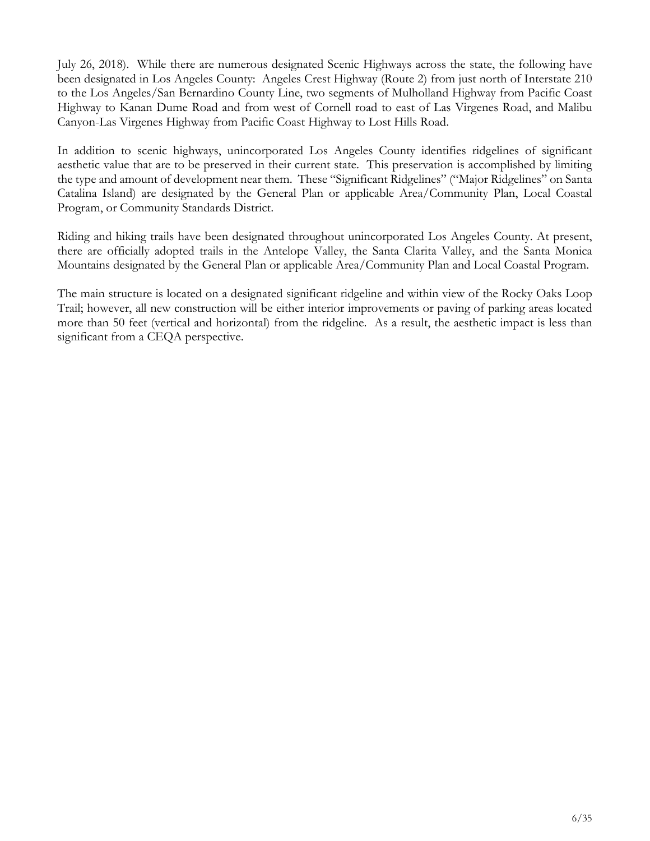July 26, 2018). While there are numerous designated Scenic Highways across the state, the following have been designated in Los Angeles County: Angeles Crest Highway (Route 2) from just north of Interstate 210 to the Los Angeles/San Bernardino County Line, two segments of Mulholland Highway from Pacific Coast Highway to Kanan Dume Road and from west of Cornell road to east of Las Virgenes Road, and Malibu Canyon-Las Virgenes Highway from Pacific Coast Highway to Lost Hills Road.

In addition to scenic highways, unincorporated Los Angeles County identifies ridgelines of significant aesthetic value that are to be preserved in their current state. This preservation is accomplished by limiting the type and amount of development near them. These "Significant Ridgelines" ("Major Ridgelines" on Santa Catalina Island) are designated by the General Plan or applicable Area/Community Plan, Local Coastal Program, or Community Standards District.

Riding and hiking trails have been designated throughout unincorporated Los Angeles County. At present, there are officially adopted trails in the Antelope Valley, the Santa Clarita Valley, and the Santa Monica Mountains designated by the General Plan or applicable Area/Community Plan and Local Coastal Program.

The main structure is located on a designated significant ridgeline and within view of the Rocky Oaks Loop Trail; however, all new construction will be either interior improvements or paving of parking areas located more than 50 feet (vertical and horizontal) from the ridgeline. As a result, the aesthetic impact is less than significant from a CEQA perspective.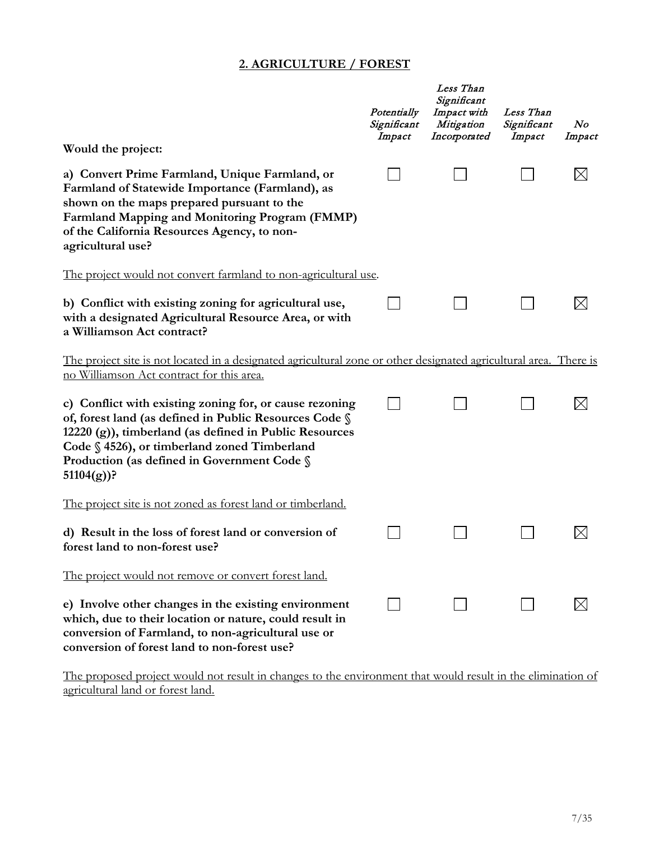#### **2. AGRICULTURE / FOREST**

|                                                                                                                                                                                                                                                                                            | Potentially<br>Significant<br>Impact | Less Than<br>Significant<br>Impact with<br>Mitigation<br>Incorporated | Less Than<br>Significant<br>Impact | N o<br>Impact |
|--------------------------------------------------------------------------------------------------------------------------------------------------------------------------------------------------------------------------------------------------------------------------------------------|--------------------------------------|-----------------------------------------------------------------------|------------------------------------|---------------|
| Would the project:                                                                                                                                                                                                                                                                         |                                      |                                                                       |                                    |               |
| a) Convert Prime Farmland, Unique Farmland, or<br>Farmland of Statewide Importance (Farmland), as<br>shown on the maps prepared pursuant to the<br>Farmland Mapping and Monitoring Program (FMMP)<br>of the California Resources Agency, to non-<br>agricultural use?                      |                                      |                                                                       |                                    |               |
| <u>The project would not convert farmland to non-agricultural use</u> .                                                                                                                                                                                                                    |                                      |                                                                       |                                    |               |
| b) Conflict with existing zoning for agricultural use,<br>with a designated Agricultural Resource Area, or with<br>a Williamson Act contract?                                                                                                                                              |                                      |                                                                       |                                    |               |
| <u>The project site is not located in a designated agricultural zone or other designated agricultural area. There is</u><br>no Williamson Act contract for this area.                                                                                                                      |                                      |                                                                       |                                    |               |
| c) Conflict with existing zoning for, or cause rezoning<br>of, forest land (as defined in Public Resources Code §<br>12220 (g)), timberland (as defined in Public Resources<br>Code § 4526), or timberland zoned Timberland<br>Production (as defined in Government Code §<br>$51104(g)$ ? |                                      |                                                                       |                                    |               |
| <u>The project site is not zoned as forest land or timberland.</u>                                                                                                                                                                                                                         |                                      |                                                                       |                                    |               |
| d) Result in the loss of forest land or conversion of<br>forest land to non-forest use?                                                                                                                                                                                                    |                                      |                                                                       |                                    |               |
| The project would not remove or convert forest land.                                                                                                                                                                                                                                       |                                      |                                                                       |                                    |               |
| e) Involve other changes in the existing environment<br>which, due to their location or nature, could result in<br>conversion of Farmland, to non-agricultural use or<br>conversion of forest land to non-forest use?                                                                      |                                      |                                                                       |                                    |               |

The proposed project would not result in changes to the environment that would result in the elimination of agricultural land or forest land.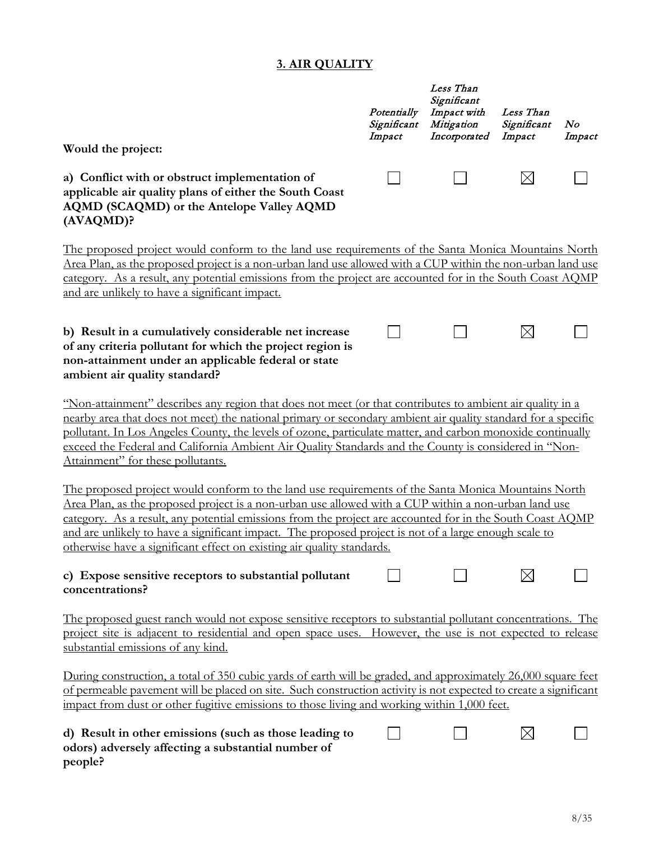## **3. AIR QUALITY**

|                                                                                                                                                                                                                                                                                                                                                                                                                                                                                                             | Potentially<br>Significant<br>Impact | Less Than<br>Significant<br>Impact with<br>Mitigation<br>Incorporated | Less Than<br>Significant<br>Impact | $\bm{N}$ o<br>Impact |
|-------------------------------------------------------------------------------------------------------------------------------------------------------------------------------------------------------------------------------------------------------------------------------------------------------------------------------------------------------------------------------------------------------------------------------------------------------------------------------------------------------------|--------------------------------------|-----------------------------------------------------------------------|------------------------------------|----------------------|
| Would the project:                                                                                                                                                                                                                                                                                                                                                                                                                                                                                          |                                      |                                                                       |                                    |                      |
| a) Conflict with or obstruct implementation of<br>applicable air quality plans of either the South Coast<br>AQMD (SCAQMD) or the Antelope Valley AQMD<br>(AVAQMD)?                                                                                                                                                                                                                                                                                                                                          |                                      |                                                                       | $\boxtimes$                        |                      |
| The proposed project would conform to the land use requirements of the Santa Monica Mountains North                                                                                                                                                                                                                                                                                                                                                                                                         |                                      |                                                                       |                                    |                      |
| Area Plan, as the proposed project is a non-urban land use allowed with a CUP within the non-urban land use<br>category. As a result, any potential emissions from the project are accounted for in the South Coast AQMP<br>and are unlikely to have a significant impact.                                                                                                                                                                                                                                  |                                      |                                                                       |                                    |                      |
| b) Result in a cumulatively considerable net increase<br>of any criteria pollutant for which the project region is<br>non-attainment under an applicable federal or state<br>ambient air quality standard?                                                                                                                                                                                                                                                                                                  |                                      |                                                                       | $\boxtimes$                        |                      |
| "Non-attainment" describes any region that does not meet (or that contributes to ambient air quality in a<br>nearby area that does not meet) the national primary or secondary ambient air quality standard for a specific<br>pollutant. In Los Angeles County, the levels of ozone, particulate matter, and carbon monoxide continually<br>exceed the Federal and California Ambient Air Quality Standards and the County is considered in "Non-<br>Attainment" for these pollutants.                      |                                      |                                                                       |                                    |                      |
| The proposed project would conform to the land use requirements of the Santa Monica Mountains North<br>Area Plan, as the proposed project is a non-urban use allowed with a CUP within a non-urban land use<br>category. As a result, any potential emissions from the project are accounted for in the South Coast AQMP<br>and are unlikely to have a significant impact. The proposed project is not of a large enough scale to<br>otherwise have a significant effect on existing air quality standards. |                                      |                                                                       |                                    |                      |
| c) Expose sensitive receptors to substantial pollutant<br>concentrations?                                                                                                                                                                                                                                                                                                                                                                                                                                   |                                      |                                                                       |                                    |                      |
| The proposed guest ranch would not expose sensitive receptors to substantial pollutant concentrations. The<br>project site is adjacent to residential and open space uses. However, the use is not expected to release<br>substantial emissions of any kind.                                                                                                                                                                                                                                                |                                      |                                                                       |                                    |                      |
| During construction, a total of 350 cubic yards of earth will be graded, and approximately 26,000 square feet<br>of permeable pavement will be placed on site. Such construction activity is not expected to create a significant<br>impact from dust or other fugitive emissions to those living and working within 1,000 feet.                                                                                                                                                                            |                                      |                                                                       |                                    |                      |
| d) Result in other emissions (such as those leading to<br>odors) adversely affecting a substantial number of<br>people?                                                                                                                                                                                                                                                                                                                                                                                     |                                      |                                                                       | $\boxtimes$                        |                      |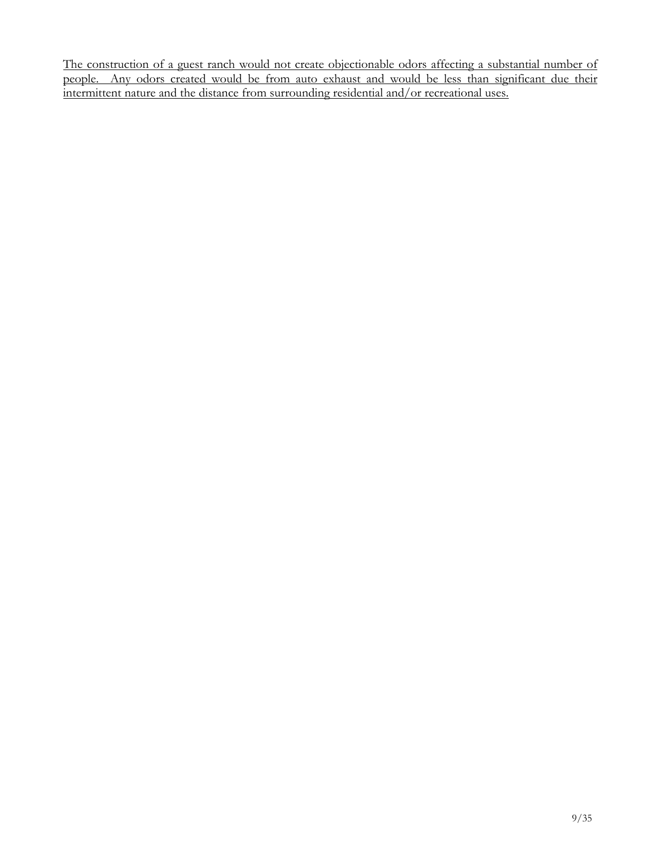The construction of a guest ranch would not create objectionable odors affecting a substantial number of people. Any odors created would be from auto exhaust and would be less than significant due their intermittent nature and the distance from surrounding residential and/or recreational uses.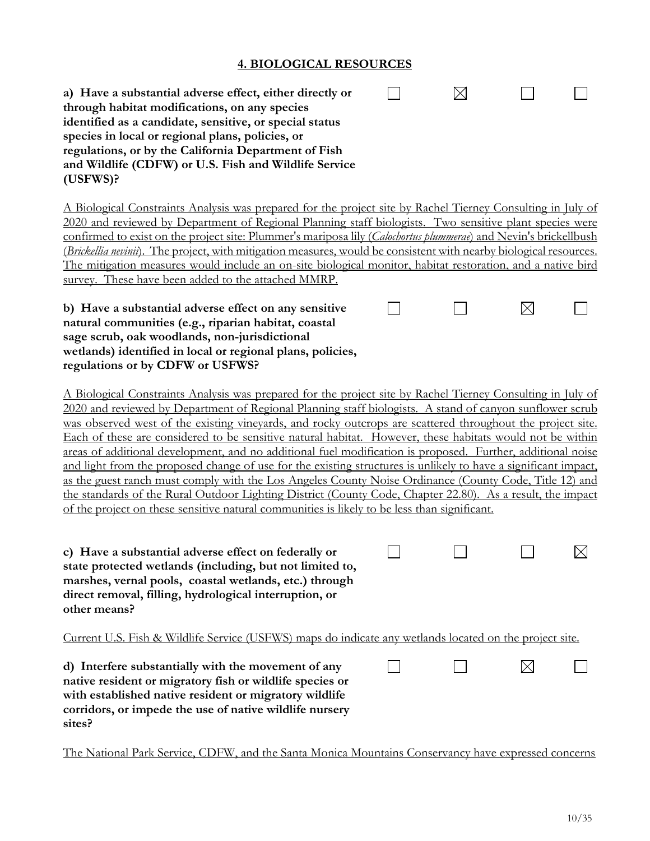#### **4. BIOLOGICAL RESOURCES**

| a) Have a substantial adverse effect, either directly or<br>through habitat modifications, on any species<br>identified as a candidate, sensitive, or special status<br>species in local or regional plans, policies, or<br>regulations, or by the California Department of Fish<br>and Wildlife (CDFW) or U.S. Fish and Wildlife Service<br>$(USFWS)$ ?                                                                                                                                                                                                                                                                                                                                                                                                                                                                                                                                                                                                                                                     |  |             |             |
|--------------------------------------------------------------------------------------------------------------------------------------------------------------------------------------------------------------------------------------------------------------------------------------------------------------------------------------------------------------------------------------------------------------------------------------------------------------------------------------------------------------------------------------------------------------------------------------------------------------------------------------------------------------------------------------------------------------------------------------------------------------------------------------------------------------------------------------------------------------------------------------------------------------------------------------------------------------------------------------------------------------|--|-------------|-------------|
| A Biological Constraints Analysis was prepared for the project site by Rachel Tierney Consulting in July of<br>2020 and reviewed by Department of Regional Planning staff biologists. Two sensitive plant species were<br>confirmed to exist on the project site: Plummer's mariposa lily (Calochortus plummerae) and Nevin's brickellbush<br>(Brickellia nevinii). The project, with mitigation measures, would be consistent with nearby biological resources.<br>The mitigation measures would include an on-site biological monitor, habitat restoration, and a native bird<br>survey. These have been added to the attached MMRP.                                                                                                                                                                                                                                                                                                                                                                       |  |             |             |
| b) Have a substantial adverse effect on any sensitive<br>natural communities (e.g., riparian habitat, coastal<br>sage scrub, oak woodlands, non-jurisdictional<br>wetlands) identified in local or regional plans, policies,<br>regulations or by CDFW or USFWS?                                                                                                                                                                                                                                                                                                                                                                                                                                                                                                                                                                                                                                                                                                                                             |  | $\boxtimes$ |             |
| A Biological Constraints Analysis was prepared for the project site by Rachel Tierney Consulting in July of<br>2020 and reviewed by Department of Regional Planning staff biologists. A stand of canyon sunflower scrub<br>was observed west of the existing vineyards, and rocky outcrops are scattered throughout the project site.<br>Each of these are considered to be sensitive natural habitat. However, these habitats would not be within<br>areas of additional development, and no additional fuel modification is proposed. Further, additional noise<br>and light from the proposed change of use for the existing structures is unlikely to have a significant impact,<br>as the guest ranch must comply with the Los Angeles County Noise Ordinance (County Code, Title 12) and<br>the standards of the Rural Outdoor Lighting District (County Code, Chapter 22.80). As a result, the impact<br>of the project on these sensitive natural communities is likely to be less than significant. |  |             |             |
| c) Have a substantial adverse effect on federally or<br>state protected wetlands (including, but not limited to,<br>marshes, vernal pools, coastal wetlands, etc.) through<br>direct removal, filling, hydrological interruption, or<br>other means?                                                                                                                                                                                                                                                                                                                                                                                                                                                                                                                                                                                                                                                                                                                                                         |  |             | $\boxtimes$ |
| <u>Current U.S. Fish &amp; Wildlife Service (USFWS) maps do indicate any wetlands located on the project site.</u>                                                                                                                                                                                                                                                                                                                                                                                                                                                                                                                                                                                                                                                                                                                                                                                                                                                                                           |  |             |             |
| d) Interfere substantially with the movement of any<br>native resident or migratory fish or wildlife species or<br>with established native resident or migratory wildlife<br>corridors, or impede the use of native wildlife nursery<br>sites?                                                                                                                                                                                                                                                                                                                                                                                                                                                                                                                                                                                                                                                                                                                                                               |  | $\times$    |             |
| The National Park Service, CDFW, and the Santa Monica Mountains Conservancy have expressed concerns                                                                                                                                                                                                                                                                                                                                                                                                                                                                                                                                                                                                                                                                                                                                                                                                                                                                                                          |  |             |             |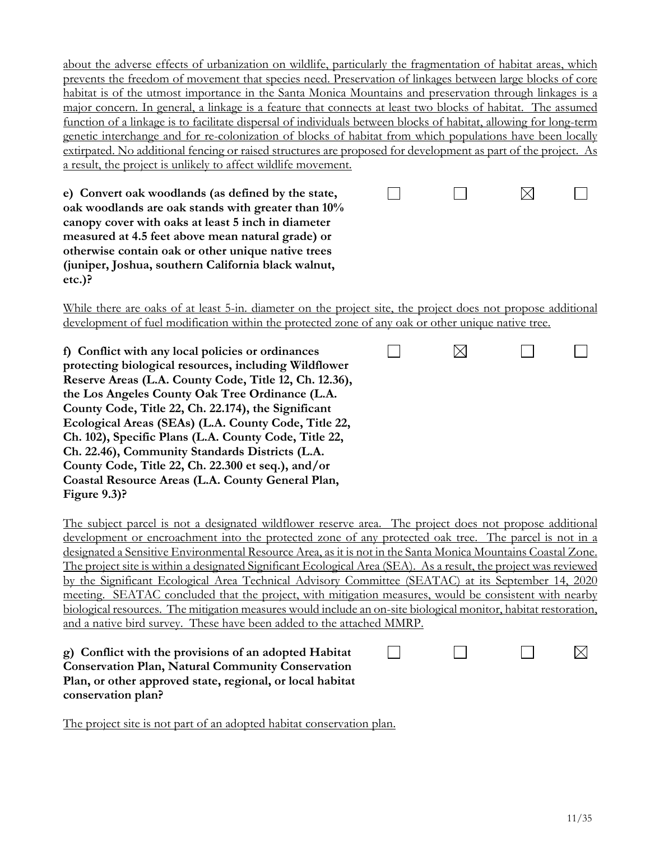about the adverse effects of urbanization on wildlife, particularly the fragmentation of habitat areas, which prevents the freedom of movement that species need. Preservation of linkages between large blocks of core habitat is of the utmost importance in the Santa Monica Mountains and preservation through linkages is a major concern. In general, a linkage is a feature that connects at least two blocks of habitat. The assumed function of a linkage is to facilitate dispersal of individuals between blocks of habitat, allowing for long-term genetic interchange and for re-colonization of blocks of habitat from which populations have been locally extirpated. No additional fencing or raised structures are proposed for development as part of the project. As a result, the project is unlikely to affect wildlife movement.

 $\Box$ 

**e) Convert oak woodlands (as defined by the state, oak woodlands are oak stands with greater than 10% canopy cover with oaks at least 5 inch in diameter measured at 4.5 feet above mean natural grade) or otherwise contain oak or other unique native trees (juniper, Joshua, southern California black walnut, etc.)?**

While there are oaks of at least 5-in. diameter on the project site, the project does not propose additional

|  |  |  | development of fuel modification within the protected zone of any oak or other unique native tree. |
|--|--|--|----------------------------------------------------------------------------------------------------|
|  |  |  |                                                                                                    |
|  |  |  |                                                                                                    |
|  |  |  |                                                                                                    |
|  |  |  |                                                                                                    |

| f) Conflict with any local policies or ordinances      |  |  |
|--------------------------------------------------------|--|--|
| protecting biological resources, including Wildflower  |  |  |
| Reserve Areas (L.A. County Code, Title 12, Ch. 12.36), |  |  |
| the Los Angeles County Oak Tree Ordinance (L.A.        |  |  |
| County Code, Title 22, Ch. 22.174), the Significant    |  |  |
| Ecological Areas (SEAs) (L.A. County Code, Title 22,   |  |  |
| Ch. 102), Specific Plans (L.A. County Code, Title 22,  |  |  |
| Ch. 22.46), Community Standards Districts (L.A.        |  |  |
| County Code, Title 22, Ch. 22.300 et seq.), and/or     |  |  |
| Coastal Resource Areas (L.A. County General Plan,      |  |  |
| Figure $9.3$ ?                                         |  |  |

The subject parcel is not a designated wildflower reserve area. The project does not propose additional development or encroachment into the protected zone of any protected oak tree. The parcel is not in a designated a Sensitive Environmental Resource Area, as it is not in the Santa Monica Mountains Coastal Zone. The project site is within a designated Significant Ecological Area (SEA). As a result, the project was reviewed by the Significant Ecological Area Technical Advisory Committee (SEATAC) at its September 14, 2020 meeting. SEATAC concluded that the project, with mitigation measures, would be consistent with nearby biological resources. The mitigation measures would include an on-site biological monitor, habitat restoration, and a native bird survey. These have been added to the attached MMRP.

| g) Conflict with the provisions of an adopted Habitat     |  |
|-----------------------------------------------------------|--|
| <b>Conservation Plan, Natural Community Conservation</b>  |  |
| Plan, or other approved state, regional, or local habitat |  |
| conservation plan?                                        |  |

The project site is not part of an adopted habitat conservation plan.

 $\boxtimes$ 

 $\vert \ \ \vert$ 

⊠

 $\Box$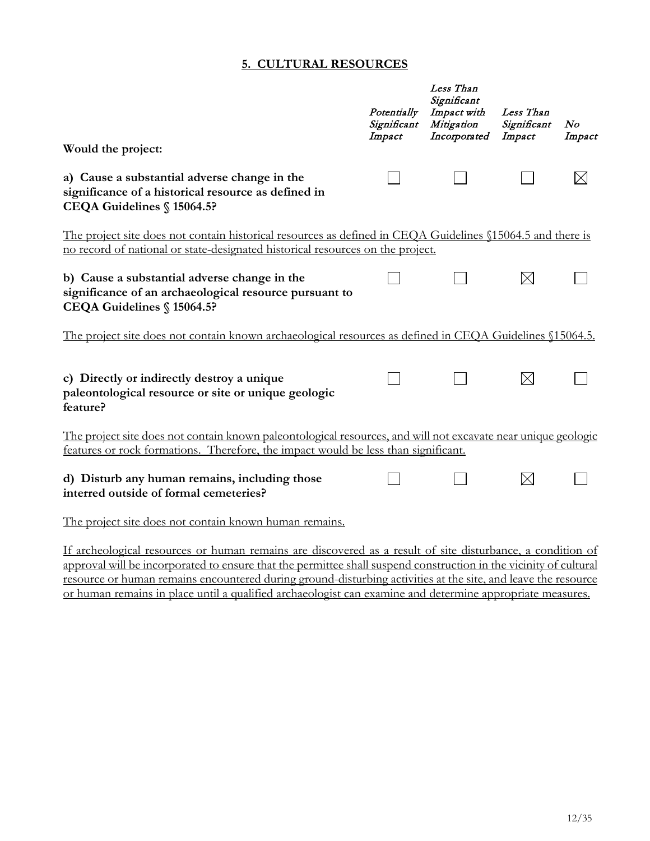#### **5. CULTURAL RESOURCES**

|                                                                                                                                                                                                     | Potentially<br>Significant<br>Impact | Less Than<br>Significant<br>Impact with<br>Mitigation<br>Incorporated | Less Than<br>Significant<br>Impact | N o<br>Impact |
|-----------------------------------------------------------------------------------------------------------------------------------------------------------------------------------------------------|--------------------------------------|-----------------------------------------------------------------------|------------------------------------|---------------|
| Would the project:                                                                                                                                                                                  |                                      |                                                                       |                                    |               |
| a) Cause a substantial adverse change in the<br>significance of a historical resource as defined in<br>CEQA Guidelines § 15064.5?                                                                   |                                      |                                                                       |                                    |               |
| The project site does not contain historical resources as defined in CEQA Guidelines §15064.5 and there is<br>no record of national or state-designated historical resources on the project.        |                                      |                                                                       |                                    |               |
| b) Cause a substantial adverse change in the<br>significance of an archaeological resource pursuant to<br>CEQA Guidelines § 15064.5?                                                                |                                      |                                                                       | $\boxtimes$                        |               |
| The project site does not contain known archaeological resources as defined in CEQA Guidelines §15064.5.                                                                                            |                                      |                                                                       |                                    |               |
| c) Directly or indirectly destroy a unique<br>paleontological resource or site or unique geologic<br>feature?                                                                                       |                                      |                                                                       | $\boxtimes$                        |               |
| The project site does not contain known paleontological resources, and will not excavate near unique geologic<br>features or rock formations. Therefore, the impact would be less than significant. |                                      |                                                                       |                                    |               |
| d) Disturb any human remains, including those<br>interred outside of formal cemeteries?                                                                                                             |                                      |                                                                       | $\boxtimes$                        |               |
| The project site does not contain known human remains.                                                                                                                                              |                                      |                                                                       |                                    |               |
| If archeological resources or human remains are discovered as a result of site disturbance, a condition of                                                                                          |                                      |                                                                       |                                    |               |

approval will be incorporated to ensure that the permittee shall suspend construction in the vicinity of cultural resource or human remains encountered during ground-disturbing activities at the site, and leave the resource or human remains in place until a qualified archaeologist can examine and determine appropriate measures.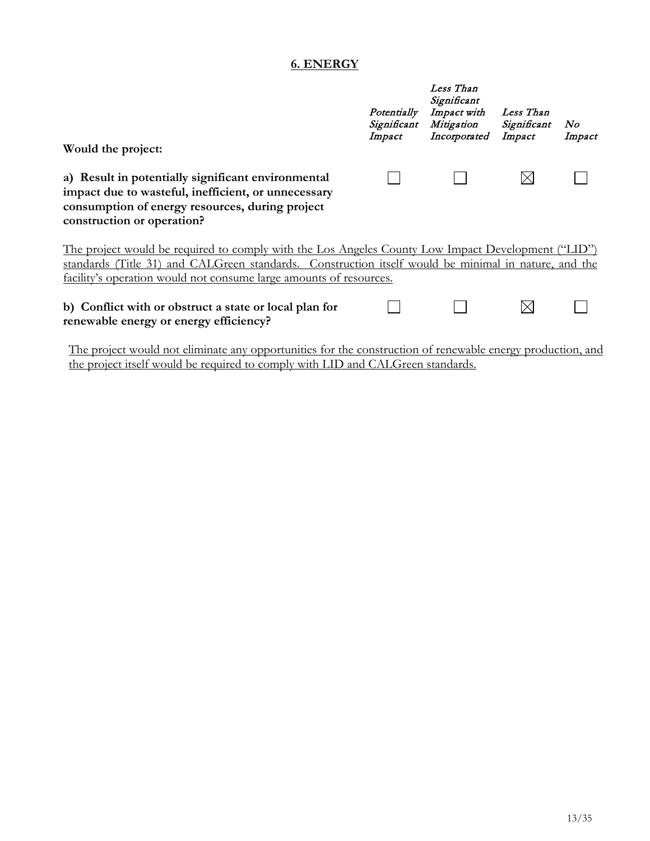#### **6. ENERGY**

| Would the project:                                                                                                                                                                                                                                                               | Potentially<br>Significant<br>Impact | Less Than<br>Significant<br>Impact with<br>Mitigation<br>Incorporated | Less Than<br>Significant<br>Impact | N o<br>Impact |
|----------------------------------------------------------------------------------------------------------------------------------------------------------------------------------------------------------------------------------------------------------------------------------|--------------------------------------|-----------------------------------------------------------------------|------------------------------------|---------------|
| a) Result in potentially significant environmental<br>impact due to wasteful, inefficient, or unnecessary<br>consumption of energy resources, during project<br>construction or operation?                                                                                       |                                      |                                                                       |                                    |               |
| The project would be required to comply with the Los Angeles County Low Impact Development ("LID")<br>standards (Title 31) and CALGreen standards. Construction itself would be minimal in nature, and the<br>facility's operation would not consume large amounts of resources. |                                      |                                                                       |                                    |               |
| b) Conflict with or obstruct a state or local plan for<br>renewable energy or energy efficiency?                                                                                                                                                                                 |                                      |                                                                       |                                    |               |

The project would not eliminate any opportunities for the construction of renewable energy production, and the project itself would be required to comply with LID and CALGreen standards.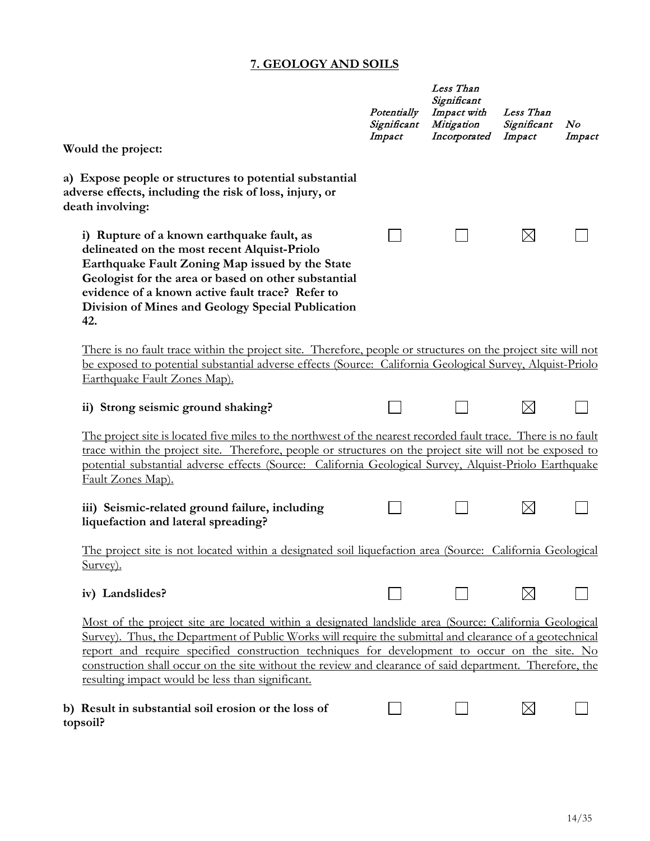### **7. GEOLOGY AND SOILS**

|                                                                                                                                                                                                                                                                                                                                                                                                                                                                                     | Potentially<br>Significant<br>Impact | Less Than<br>Significant<br>Impact with<br>Mitigation<br>Incorporated | Less Than<br>Significant<br>Impact | N o<br>Impact |
|-------------------------------------------------------------------------------------------------------------------------------------------------------------------------------------------------------------------------------------------------------------------------------------------------------------------------------------------------------------------------------------------------------------------------------------------------------------------------------------|--------------------------------------|-----------------------------------------------------------------------|------------------------------------|---------------|
| Would the project:                                                                                                                                                                                                                                                                                                                                                                                                                                                                  |                                      |                                                                       |                                    |               |
| a) Expose people or structures to potential substantial<br>adverse effects, including the risk of loss, injury, or<br>death involving:                                                                                                                                                                                                                                                                                                                                              |                                      |                                                                       |                                    |               |
| i) Rupture of a known earthquake fault, as<br>delineated on the most recent Alquist-Priolo<br>Earthquake Fault Zoning Map issued by the State<br>Geologist for the area or based on other substantial<br>evidence of a known active fault trace? Refer to<br>Division of Mines and Geology Special Publication<br>42.                                                                                                                                                               |                                      |                                                                       | $\boxtimes$                        |               |
| There is no fault trace within the project site. Therefore, people or structures on the project site will not                                                                                                                                                                                                                                                                                                                                                                       |                                      |                                                                       |                                    |               |
| be exposed to potential substantial adverse effects (Source: California Geological Survey, Alquist-Priolo<br>Earthquake Fault Zones Map).                                                                                                                                                                                                                                                                                                                                           |                                      |                                                                       |                                    |               |
| ii) Strong seismic ground shaking?                                                                                                                                                                                                                                                                                                                                                                                                                                                  |                                      |                                                                       | $\boxtimes$                        |               |
| The project site is located five miles to the northwest of the nearest recorded fault trace. There is no fault<br>trace within the project site. Therefore, people or structures on the project site will not be exposed to<br>potential substantial adverse effects (Source: California Geological Survey, Alquist-Priolo Earthquake<br>Fault Zones Map).                                                                                                                          |                                      |                                                                       |                                    |               |
| iii) Seismic-related ground failure, including<br>liquefaction and lateral spreading?                                                                                                                                                                                                                                                                                                                                                                                               |                                      |                                                                       | $\boxtimes$                        |               |
| The project site is not located within a designated soil liquefaction area (Source: California Geological<br>Survey).                                                                                                                                                                                                                                                                                                                                                               |                                      |                                                                       |                                    |               |
| iv) Landslides?                                                                                                                                                                                                                                                                                                                                                                                                                                                                     |                                      |                                                                       | $\boxtimes$                        |               |
| Most of the project site are located within a designated landslide area (Source: California Geological<br>Survey). Thus, the Department of Public Works will require the submittal and clearance of a geotechnical<br>report and require specified construction techniques for development to occur on the site. No<br>construction shall occur on the site without the review and clearance of said department. Therefore, the<br>resulting impact would be less than significant. |                                      |                                                                       |                                    |               |
| b) Result in substantial soil erosion or the loss of<br>topsoil?                                                                                                                                                                                                                                                                                                                                                                                                                    |                                      |                                                                       | $\boxtimes$                        |               |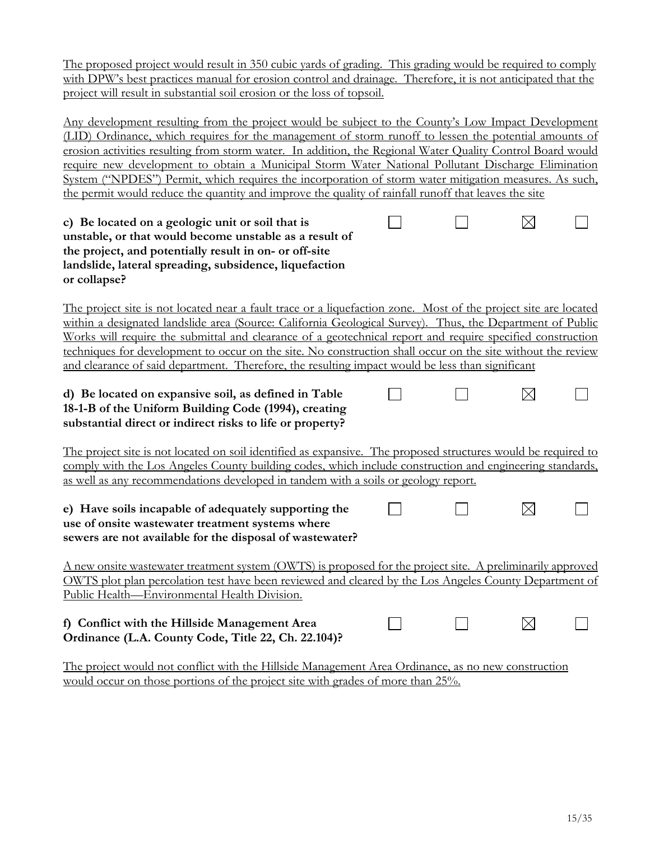The proposed project would result in 350 cubic yards of grading. This grading would be required to comply with DPW's best practices manual for erosion control and drainage. Therefore, it is not anticipated that the project will result in substantial soil erosion or the loss of topsoil.

Any development resulting from the project would be subject to the County's Low Impact Development (LID) Ordinance, which requires for the management of storm runoff to lessen the potential amounts of erosion activities resulting from storm water. In addition, the Regional Water Quality Control Board would require new development to obtain a Municipal Storm Water National Pollutant Discharge Elimination System ("NPDES") Permit, which requires the incorporation of storm water mitigation measures. As such, the permit would reduce the quantity and improve the quality of rainfall runoff that leaves the site

| c) Be located on a geologic unit or soil that is       |  |  |
|--------------------------------------------------------|--|--|
| unstable, or that would become unstable as a result of |  |  |
| the project, and potentially result in on- or off-site |  |  |
| landslide, lateral spreading, subsidence, liquefaction |  |  |
| or collapse?                                           |  |  |

The project site is not located near a fault trace or a liquefaction zone. Most of the project site are located within a designated landslide area (Source: California Geological Survey). Thus, the Department of Public Works will require the submittal and clearance of a geotechnical report and require specified construction techniques for development to occur on the site. No construction shall occur on the site without the review and clearance of said department. Therefore, the resulting impact would be less than significant

| d) Be located on expansive soil, as defined in Table      |  | $\boxtimes$ |  |
|-----------------------------------------------------------|--|-------------|--|
| 18-1-B of the Uniform Building Code (1994), creating      |  |             |  |
| substantial direct or indirect risks to life or property? |  |             |  |

The project site is not located on soil identified as expansive. The proposed structures would be required to comply with the Los Angeles County building codes, which include construction and engineering standards, as well as any recommendations developed in tandem with a soils or geology report.

 $\mathsf{L}$ 

#### **e) Have soils incapable of adequately supporting the use of onsite wastewater treatment systems where sewers are not available for the disposal of wastewater?**

A new onsite wastewater treatment system (OWTS) is proposed for the project site. A preliminarily approved OWTS plot plan percolation test have been reviewed and cleared by the Los Angeles County Department of Public Health—Environmental Health Division.

#### **f) Conflict with the Hillside Management Area**  ⊠  $\mathbf{L}$  $\perp$ **Ordinance (L.A. County Code, Title 22, Ch. 22.104)?**

The project would not conflict with the Hillside Management Area Ordinance, as no new construction would occur on those portions of the project site with grades of more than 25%.

⊠

 $\Box$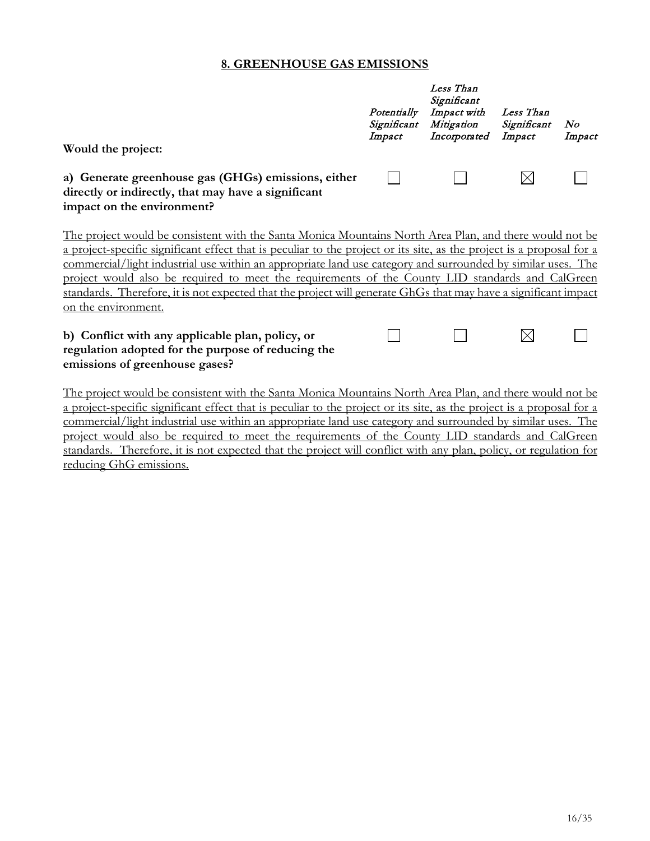#### **8. GREENHOUSE GAS EMISSIONS**

| Would the project:                                                                                                                                                                                                                                                                                                                                                                                                                                                                                                                                                                            | Potentially<br>Significant<br>Impact | Less Than<br>Significant<br>Impact with<br>Mitigation<br>Incorporated | Less Than<br>Significant<br>Impact | No<br>Impact |
|-----------------------------------------------------------------------------------------------------------------------------------------------------------------------------------------------------------------------------------------------------------------------------------------------------------------------------------------------------------------------------------------------------------------------------------------------------------------------------------------------------------------------------------------------------------------------------------------------|--------------------------------------|-----------------------------------------------------------------------|------------------------------------|--------------|
| a) Generate greenhouse gas (GHGs) emissions, either<br>directly or indirectly, that may have a significant<br>impact on the environment?                                                                                                                                                                                                                                                                                                                                                                                                                                                      |                                      |                                                                       |                                    |              |
| The project would be consistent with the Santa Monica Mountains North Area Plan, and there would not be<br>a project-specific significant effect that is peculiar to the project or its site, as the project is a proposal for a<br>commercial/light industrial use within an appropriate land use category and surrounded by similar uses. The<br>project would also be required to meet the requirements of the County LID standards and CalGreen<br>standards. Therefore, it is not expected that the project will generate GhGs that may have a significant impact<br>on the environment. |                                      |                                                                       |                                    |              |
| b) Conflict with any applicable plan, policy, or<br>regulation adopted for the purpose of reducing the<br>emissions of greenhouse gases?                                                                                                                                                                                                                                                                                                                                                                                                                                                      |                                      |                                                                       |                                    |              |

The project would be consistent with the Santa Monica Mountains North Area Plan, and there would not be a project-specific significant effect that is peculiar to the project or its site, as the project is a proposal for a commercial/light industrial use within an appropriate land use category and surrounded by similar uses. The project would also be required to meet the requirements of the County LID standards and CalGreen standards. Therefore, it is not expected that the project will conflict with any plan, policy, or regulation for reducing GhG emissions.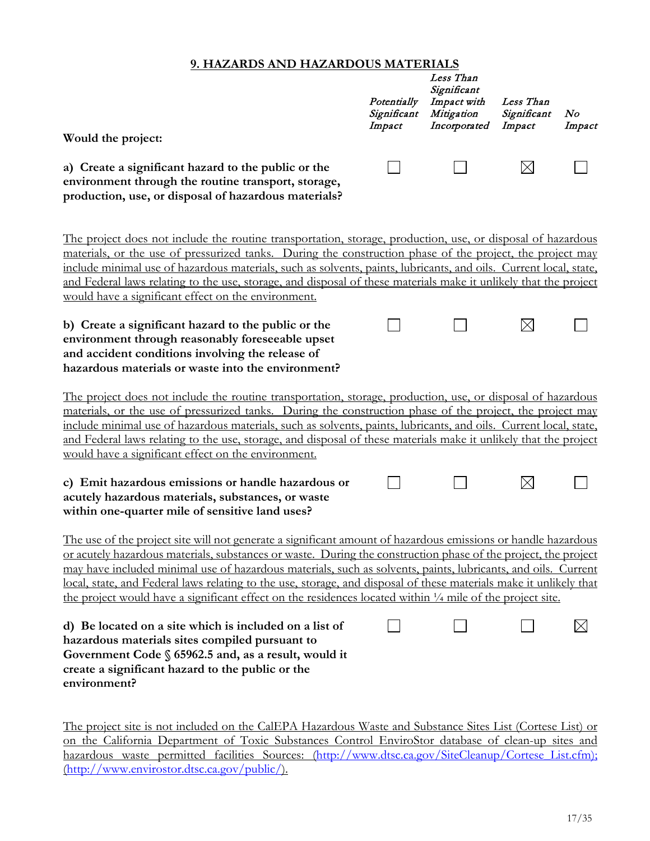#### **9. HAZARDS AND HAZARDOUS MATERIALS**

| Would the project:                                                                                                                                                                                                                                                                                                                                                                                                                                                                                                                                                                   | Potentially<br>Significant<br>Impact | Less Than<br>Significant<br>Impact with<br>Mitigation<br>Incorporated | Less Than<br>Significant<br>Impact | No<br>Impact |  |
|--------------------------------------------------------------------------------------------------------------------------------------------------------------------------------------------------------------------------------------------------------------------------------------------------------------------------------------------------------------------------------------------------------------------------------------------------------------------------------------------------------------------------------------------------------------------------------------|--------------------------------------|-----------------------------------------------------------------------|------------------------------------|--------------|--|
| a) Create a significant hazard to the public or the<br>environment through the routine transport, storage,<br>production, use, or disposal of hazardous materials?                                                                                                                                                                                                                                                                                                                                                                                                                   |                                      |                                                                       | $\times$                           |              |  |
| The project does not include the routine transportation, storage, production, use, or disposal of hazardous<br>materials, or the use of pressurized tanks. During the construction phase of the project, the project may<br>include minimal use of hazardous materials, such as solvents, paints, lubricants, and oils. Current local, state,<br>and Federal laws relating to the use, storage, and disposal of these materials make it unlikely that the project<br>would have a significant effect on the environment.                                                             |                                      |                                                                       |                                    |              |  |
| b) Create a significant hazard to the public or the<br>environment through reasonably foreseeable upset<br>and accident conditions involving the release of<br>hazardous materials or waste into the environment?                                                                                                                                                                                                                                                                                                                                                                    |                                      |                                                                       | $\times$                           |              |  |
| The project does not include the routine transportation, storage, production, use, or disposal of hazardous<br>materials, or the use of pressurized tanks. During the construction phase of the project, the project may<br>include minimal use of hazardous materials, such as solvents, paints, lubricants, and oils. Current local, state,<br>and Federal laws relating to the use, storage, and disposal of these materials make it unlikely that the project<br>would have a significant effect on the environment.                                                             |                                      |                                                                       |                                    |              |  |
| c) Emit hazardous emissions or handle hazardous or<br>acutely hazardous materials, substances, or waste<br>within one-quarter mile of sensitive land uses?                                                                                                                                                                                                                                                                                                                                                                                                                           |                                      |                                                                       | $\boxtimes$                        |              |  |
| The use of the project site will not generate a significant amount of hazardous emissions or handle hazardous<br>or acutely hazardous materials, substances or waste. During the construction phase of the project, the project<br>may have included minimal use of hazardous materials, such as solvents, paints, lubricants, and oils. Current<br>local, state, and Federal laws relating to the use, storage, and disposal of these materials make it unlikely that<br>the project would have a significant effect on the residences located within 1/4 mile of the project site. |                                      |                                                                       |                                    |              |  |
| d) Be located on a site which is included on a list of<br>hazardous materials sites compiled pursuant to<br>Government Code $\S$ 65962.5 and, as a result, would it<br>create a significant hazard to the public or the<br>environment?                                                                                                                                                                                                                                                                                                                                              |                                      |                                                                       |                                    | $\boxtimes$  |  |

The project site is not included on the CalEPA Hazardous Waste and Substance Sites List (Cortese List) or on the California Department of Toxic Substances Control EnviroStor database of clean-up sites and hazardous waste permitted facilities Sources: (http://www.dtsc.ca.gov/SiteCleanup/Cortese List.cfm); [\(http://www.envirostor.dtsc.ca.gov/public/\)](http://www.envirostor.dtsc.ca.gov/public/).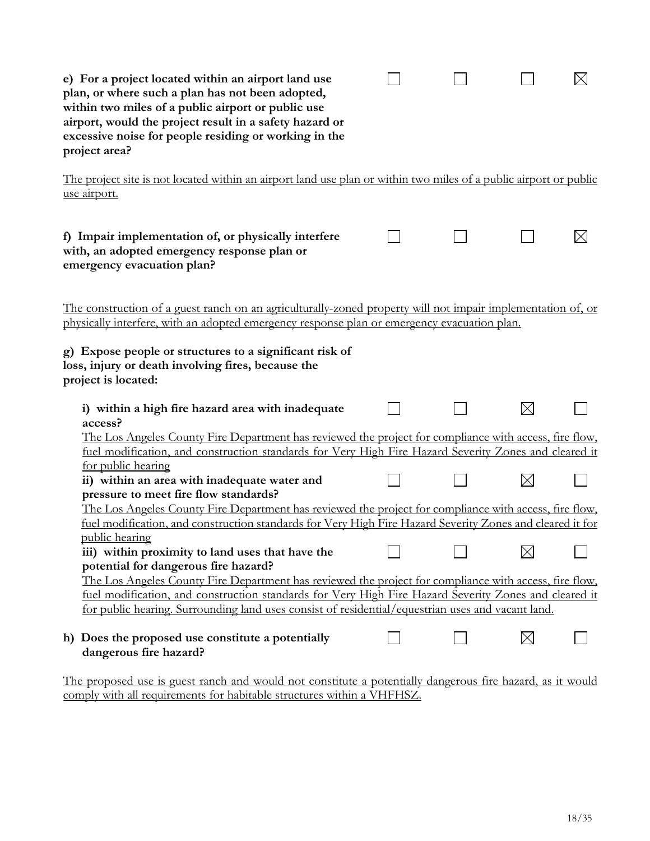| e) For a project located within an airport land use<br>plan, or where such a plan has not been adopted,<br>within two miles of a public airport or public use<br>airport, would the project result in a safety hazard or<br>excessive noise for people residing or working in the<br>project area?                          |  |             |  |
|-----------------------------------------------------------------------------------------------------------------------------------------------------------------------------------------------------------------------------------------------------------------------------------------------------------------------------|--|-------------|--|
| The project site is not located within an airport land use plan or within two miles of a public airport or public<br>use airport.                                                                                                                                                                                           |  |             |  |
| f) Impair implementation of, or physically interfere<br>with, an adopted emergency response plan or<br>emergency evacuation plan?                                                                                                                                                                                           |  |             |  |
| The construction of a guest ranch on an agriculturally-zoned property will not impair implementation of, or<br>physically interfere, with an adopted emergency response plan or emergency evacuation plan.<br>g) Expose people or structures to a significant risk of<br>loss, injury or death involving fires, because the |  |             |  |
| project is located:<br>i) within a high fire hazard area with inadequate<br>access?                                                                                                                                                                                                                                         |  | $\boxtimes$ |  |
| The Los Angeles County Fire Department has reviewed the project for compliance with access, fire flow,<br>fuel modification, and construction standards for Very High Fire Hazard Severity Zones and cleared it<br>for public hearing                                                                                       |  |             |  |
| ii) within an area with inadequate water and<br>pressure to meet fire flow standards?                                                                                                                                                                                                                                       |  | $\boxtimes$ |  |
| The Los Angeles County Fire Department has reviewed the project for compliance with access, fire flow,<br>fuel modification, and construction standards for Very High Fire Hazard Severity Zones and cleared it for<br>public hearing                                                                                       |  |             |  |
| iii) within proximity to land uses that have the<br>potential for dangerous fire hazard?                                                                                                                                                                                                                                    |  |             |  |
| The Los Angeles County Fire Department has reviewed the project for compliance with access, fire flow,<br>fuel modification, and construction standards for Very High Fire Hazard Severity Zones and cleared it<br>for public hearing. Surrounding land uses consist of residential/equestrian uses and vacant land.        |  |             |  |
| Does the proposed use constitute a potentially<br>h)<br>dangerous fire hazard?                                                                                                                                                                                                                                              |  | $\boxtimes$ |  |

The proposed use is guest ranch and would not constitute a potentially dangerous fire hazard, as it would comply with all requirements for habitable structures within a VHFHSZ.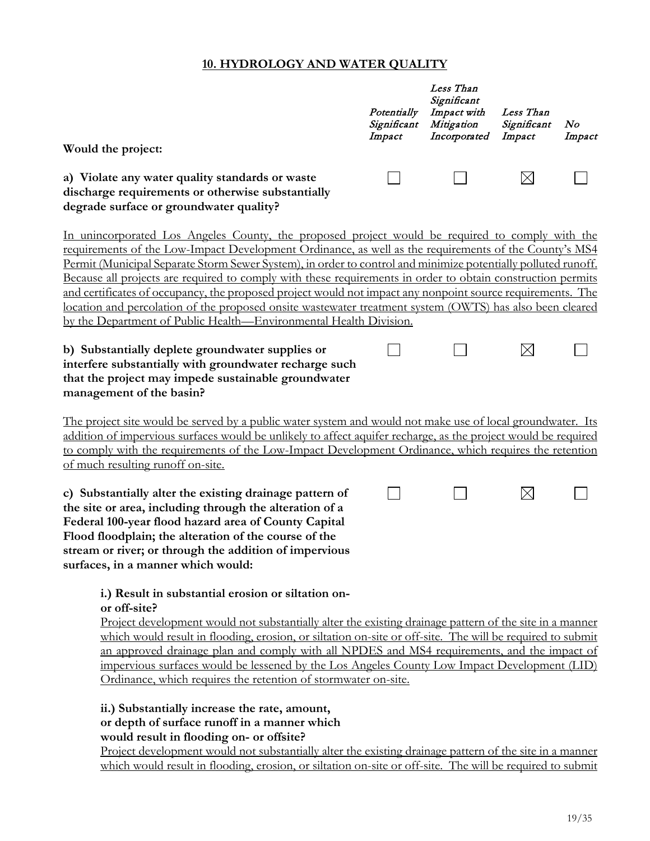#### **10. HYDROLOGY AND WATER QUALITY**

|                                                                                                                                                                                                                                                                                                                                                                                                                                                                                                                                                                                                                                                                                                                                         | Potentially<br>Significant<br>Impact | Less Than<br>Significant<br>Impact with<br>Mitigation<br>Incorporated | Less Than<br>Significant<br>Impact | No<br>Impact |
|-----------------------------------------------------------------------------------------------------------------------------------------------------------------------------------------------------------------------------------------------------------------------------------------------------------------------------------------------------------------------------------------------------------------------------------------------------------------------------------------------------------------------------------------------------------------------------------------------------------------------------------------------------------------------------------------------------------------------------------------|--------------------------------------|-----------------------------------------------------------------------|------------------------------------|--------------|
| Would the project:                                                                                                                                                                                                                                                                                                                                                                                                                                                                                                                                                                                                                                                                                                                      |                                      |                                                                       |                                    |              |
| a) Violate any water quality standards or waste<br>discharge requirements or otherwise substantially<br>degrade surface or groundwater quality?                                                                                                                                                                                                                                                                                                                                                                                                                                                                                                                                                                                         |                                      |                                                                       | $\boxtimes$                        |              |
| In unincorporated Los Angeles County, the proposed project would be required to comply with the<br>requirements of the Low-Impact Development Ordinance, as well as the requirements of the County's MS4<br>Permit (Municipal Separate Storm Sewer System), in order to control and minimize potentially polluted runoff.<br>Because all projects are required to comply with these requirements in order to obtain construction permits<br>and certificates of occupancy, the proposed project would not impact any nonpoint source requirements. The<br>location and percolation of the proposed onsite wastewater treatment system (OWTS) has also been cleared<br>by the Department of Public Health—Environmental Health Division. |                                      |                                                                       |                                    |              |
| b) Substantially deplete groundwater supplies or<br>interfere substantially with groundwater recharge such<br>that the project may impede sustainable groundwater<br>management of the basin?                                                                                                                                                                                                                                                                                                                                                                                                                                                                                                                                           |                                      |                                                                       | $\boxtimes$                        |              |
| <u>The project site would be served by a public water system and would not make use of local groundwater. Its</u><br>addition of impervious surfaces would be unlikely to affect aquifer recharge, as the project would be required<br>to comply with the requirements of the Low-Impact Development Ordinance, which requires the retention<br>of much resulting runoff on-site.                                                                                                                                                                                                                                                                                                                                                       |                                      |                                                                       |                                    |              |
| c) Substantially alter the existing drainage pattern of<br>the site or area, including through the alteration of a<br>Federal 100-year flood hazard area of County Capital<br>Flood floodplain; the alteration of the course of the<br>stream or river; or through the addition of impervious<br>surfaces, in a manner which would:                                                                                                                                                                                                                                                                                                                                                                                                     |                                      |                                                                       | $\boxtimes$                        |              |
| i.) Result in substantial erosion or siltation on-<br>or off-site?<br>$\mathbf{1}$ , $\mathbf{1}$ , $\mathbf{1}$ , $\mathbf{1}$ , $\mathbf{1}$ , $\mathbf{1}$ , $\mathbf{1}$ , $\mathbf{1}$ , $\mathbf{1}$ , $\mathbf{1}$ , $\mathbf{1}$ , $\mathbf{1}$ , $\mathbf{1}$ , $\mathbf{1}$ , $\mathbf{1}$ , $\mathbf{1}$ , $\mathbf{1}$ , $\mathbf{1}$ , $\mathbf{1}$ , $\mathbf{1}$ ,<br>$\sim$ $\sim$ $\sim$ $\sim$ $\sim$ $\sim$<br>11                                                                                                                                                                                                                                                                                                    |                                      |                                                                       | $\sim$ 1                           |              |

Project development would not substantially alter the existing drainage pattern of the site in a manner which would result in flooding, erosion, or siltation on-site or off-site. The will be required to submit an approved drainage plan and comply with all NPDES and MS4 requirements, and the impact of impervious surfaces would be lessened by the Los Angeles County Low Impact Development (LID) Ordinance, which requires the retention of stormwater on-site.

#### **ii.) Substantially increase the rate, amount, or depth of surface runoff in a manner which would result in flooding on- or offsite?**

Project development would not substantially alter the existing drainage pattern of the site in a manner which would result in flooding, erosion, or siltation on-site or off-site. The will be required to submit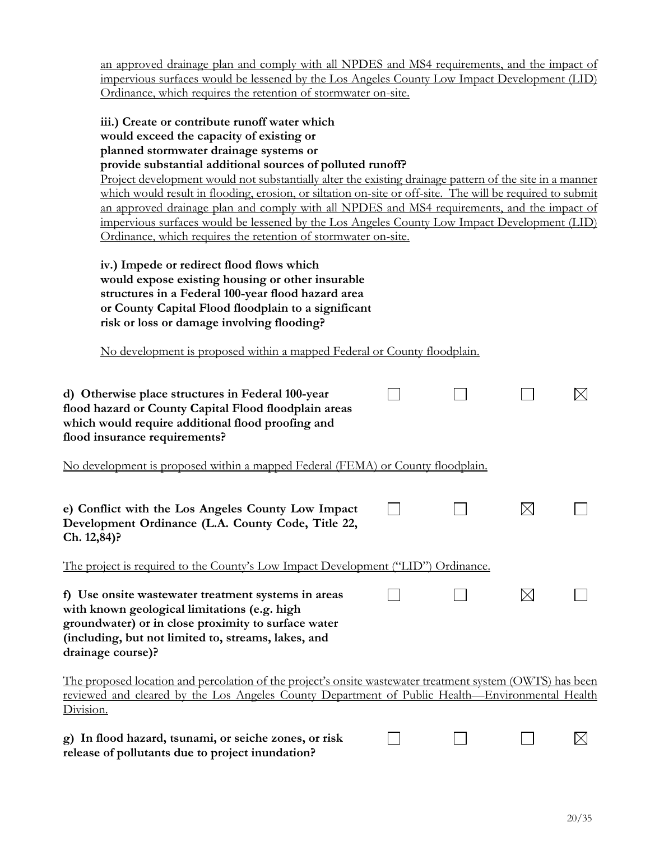| an approved drainage plan and comply with all NPDES and MS4 requirements, and the impact of<br>impervious surfaces would be lessened by the Los Angeles County Low Impact Development (LID)                                                                                                                                                                                                                                                                                                                                                                                                                                                                                                |  |             |             |
|--------------------------------------------------------------------------------------------------------------------------------------------------------------------------------------------------------------------------------------------------------------------------------------------------------------------------------------------------------------------------------------------------------------------------------------------------------------------------------------------------------------------------------------------------------------------------------------------------------------------------------------------------------------------------------------------|--|-------------|-------------|
| Ordinance, which requires the retention of stormwater on-site.                                                                                                                                                                                                                                                                                                                                                                                                                                                                                                                                                                                                                             |  |             |             |
| iii.) Create or contribute runoff water which<br>would exceed the capacity of existing or<br>planned stormwater drainage systems or<br>provide substantial additional sources of polluted runoff?<br>Project development would not substantially alter the existing drainage pattern of the site in a manner<br>which would result in flooding, erosion, or siltation on-site or off-site. The will be required to submit<br>an approved drainage plan and comply with all NPDES and MS4 requirements, and the impact of<br>impervious surfaces would be lessened by the Los Angeles County Low Impact Development (LID)<br>Ordinance, which requires the retention of stormwater on-site. |  |             |             |
| iv.) Impede or redirect flood flows which<br>would expose existing housing or other insurable<br>structures in a Federal 100-year flood hazard area<br>or County Capital Flood floodplain to a significant<br>risk or loss or damage involving flooding?                                                                                                                                                                                                                                                                                                                                                                                                                                   |  |             |             |
| No development is proposed within a mapped Federal or County floodplain.                                                                                                                                                                                                                                                                                                                                                                                                                                                                                                                                                                                                                   |  |             |             |
| d) Otherwise place structures in Federal 100-year<br>flood hazard or County Capital Flood floodplain areas<br>which would require additional flood proofing and<br>flood insurance requirements?                                                                                                                                                                                                                                                                                                                                                                                                                                                                                           |  |             |             |
| No development is proposed within a mapped Federal (FEMA) or County floodplain.                                                                                                                                                                                                                                                                                                                                                                                                                                                                                                                                                                                                            |  |             |             |
| e) Conflict with the Los Angeles County Low Impact<br>Development Ordinance (L.A. County Code, Title 22,<br>Ch. 12,84)?                                                                                                                                                                                                                                                                                                                                                                                                                                                                                                                                                                    |  | $\times$    |             |
| The project is required to the County's Low Impact Development ("LID") Ordinance.                                                                                                                                                                                                                                                                                                                                                                                                                                                                                                                                                                                                          |  |             |             |
| f) Use onsite wastewater treatment systems in areas<br>with known geological limitations (e.g. high<br>groundwater) or in close proximity to surface water<br>(including, but not limited to, streams, lakes, and<br>drainage course)?                                                                                                                                                                                                                                                                                                                                                                                                                                                     |  | $\boxtimes$ |             |
| <u>The proposed location and percolation of the project's onsite wastewater treatment system (OWTS) has been</u><br><u>reviewed and cleared by the Los Angeles County Department of Public Health—Environmental Health</u><br>Division.                                                                                                                                                                                                                                                                                                                                                                                                                                                    |  |             |             |
| g) In flood hazard, tsunami, or seiche zones, or risk<br>release of pollutants due to project inundation?                                                                                                                                                                                                                                                                                                                                                                                                                                                                                                                                                                                  |  |             | $\boxtimes$ |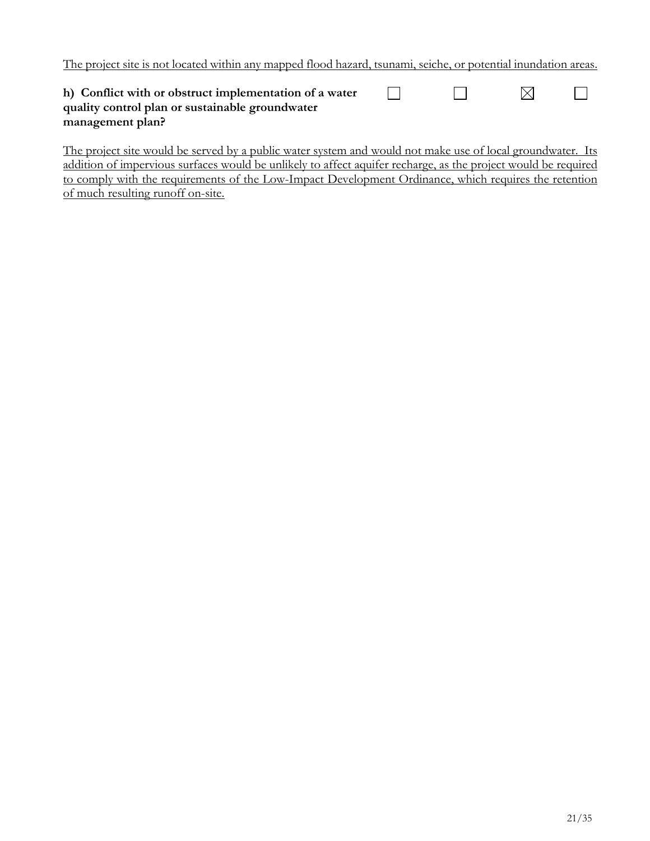The project site is not located within any mapped flood hazard, tsunami, seiche, or potential inundation areas.

| h) Conflict with or obstruct implementation of a water |  |  |
|--------------------------------------------------------|--|--|
| quality control plan or sustainable groundwater        |  |  |
| management plan?                                       |  |  |

The project site would be served by a public water system and would not make use of local groundwater. Its addition of impervious surfaces would be unlikely to affect aquifer recharge, as the project would be required to comply with the requirements of the Low-Impact Development Ordinance, which requires the retention of much resulting runoff on-site.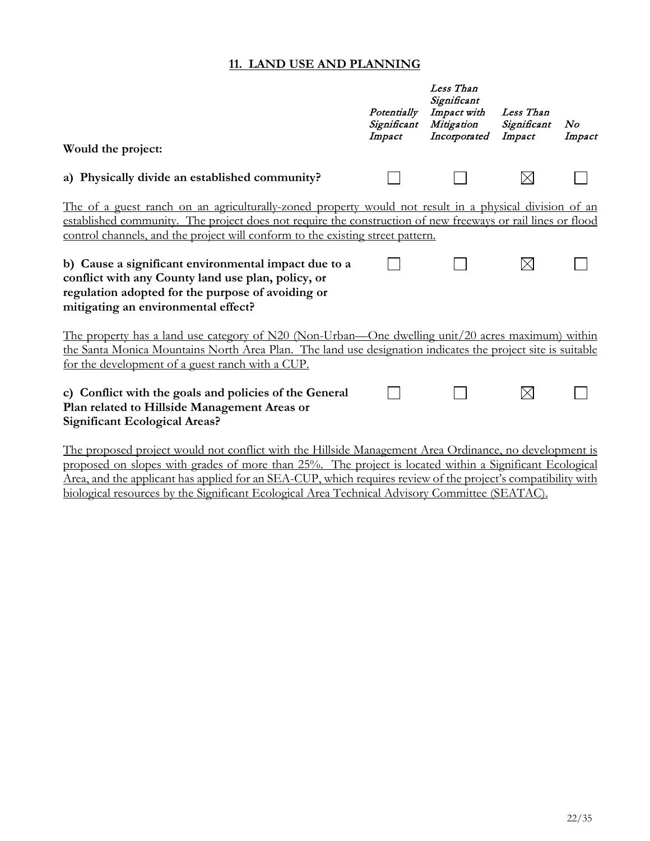#### **11. LAND USE AND PLANNING**

| Would the project:                                                                                                                                                                                                                                                                                                                                                                                                                                                                                                | Potentially<br>Significant<br>Impact | Less Than<br>Significant<br>Impact with<br>Mitigation<br>Incorporated | Less Than<br>Significant<br>Impact | No<br>Impact |
|-------------------------------------------------------------------------------------------------------------------------------------------------------------------------------------------------------------------------------------------------------------------------------------------------------------------------------------------------------------------------------------------------------------------------------------------------------------------------------------------------------------------|--------------------------------------|-----------------------------------------------------------------------|------------------------------------|--------------|
| a) Physically divide an established community?                                                                                                                                                                                                                                                                                                                                                                                                                                                                    |                                      |                                                                       | $\boxtimes$                        |              |
| The of a guest ranch on an agriculturally-zoned property would not result in a physical division of an<br>established community. The project does not require the construction of new freeways or rail lines or flood<br>control channels, and the project will conform to the existing street pattern.<br>b) Cause a significant environmental impact due to a<br>conflict with any County land use plan, policy, or<br>regulation adopted for the purpose of avoiding or<br>mitigating an environmental effect? |                                      |                                                                       | $\boxtimes$                        |              |
| The property has a land use category of N20 (Non-Urban—One dwelling unit/20 acres maximum) within<br>the Santa Monica Mountains North Area Plan. The land use designation indicates the project site is suitable<br>for the development of a guest ranch with a CUP.                                                                                                                                                                                                                                              |                                      |                                                                       |                                    |              |
| c) Conflict with the goals and policies of the General<br>Plan related to Hillside Management Areas or<br><b>Significant Ecological Areas?</b>                                                                                                                                                                                                                                                                                                                                                                    |                                      |                                                                       | $\boxtimes$                        |              |
| The nucleosed nucleot would not conflict with the Hillside Menecement Auge Oudineance no development is                                                                                                                                                                                                                                                                                                                                                                                                           |                                      |                                                                       |                                    |              |

The proposed project would not conflict with the Hillside Management Area Ordinance, no development is proposed on slopes with grades of more than 25%. The project is located within a Significant Ecological Area, and the applicant has applied for an SEA-CUP, which requires review of the project's compatibility with biological resources by the Significant Ecological Area Technical Advisory Committee (SEATAC).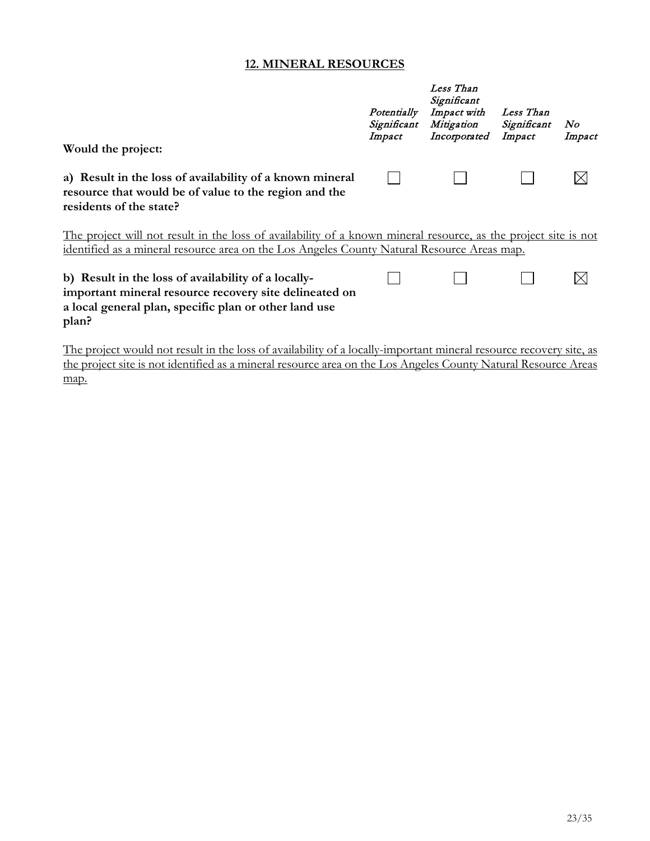#### **12. MINERAL RESOURCES**

| Would the project:                                                                                                                                                                                                    | Potentially<br>Significant<br>Impact | Less Than<br>Significant<br>Impact with<br>Mitigation<br>Incorporated | Less Than<br>Significant<br>Impact | No<br>Impact |
|-----------------------------------------------------------------------------------------------------------------------------------------------------------------------------------------------------------------------|--------------------------------------|-----------------------------------------------------------------------|------------------------------------|--------------|
| a) Result in the loss of availability of a known mineral<br>resource that would be of value to the region and the<br>residents of the state?                                                                          |                                      |                                                                       |                                    |              |
| The project will not result in the loss of availability of a known mineral resource, as the project site is not<br><u>identified as a mineral resource area on the Los Angeles County Natural Resource Areas map.</u> |                                      |                                                                       |                                    |              |
| b) Result in the loss of availability of a locally-<br>important mineral resource recovery site delineated on<br>a local general plan, specific plan or other land use<br>plan?                                       |                                      |                                                                       |                                    |              |

The project would not result in the loss of availability of a locally-important mineral resource recovery site, as the project site is not identified as a mineral resource area on the Los Angeles County Natural Resource Areas map.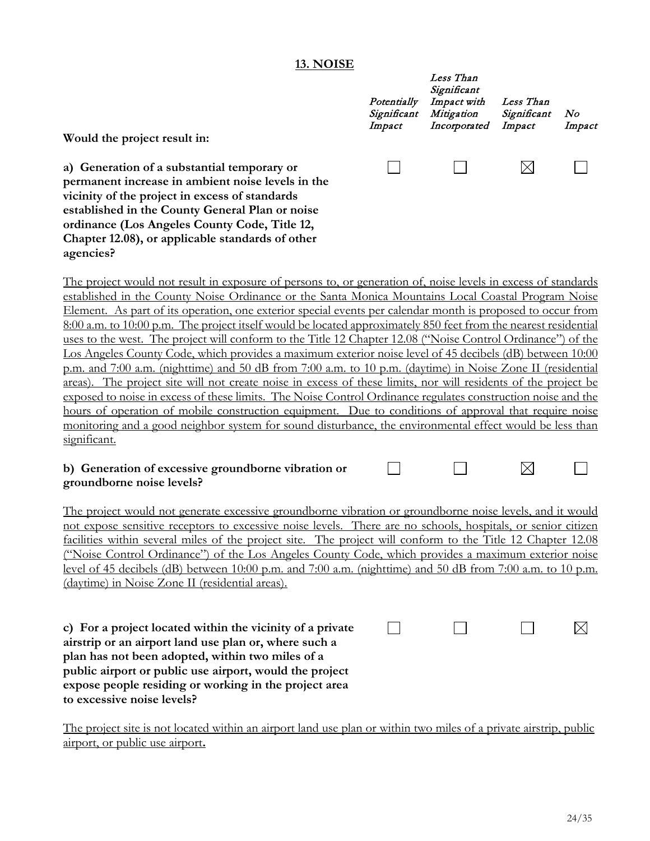#### **13. NOISE**

| Potentially<br>Significant<br>Impact | Less Than<br>Significant<br>Impact with<br>Mitigation<br>Incorporated | Less Than<br>Significant<br>Impact | No<br>Impact |
|--------------------------------------|-----------------------------------------------------------------------|------------------------------------|--------------|
|                                      |                                                                       |                                    |              |

**a) Generation of a substantial temporary or permanent increase in ambient noise levels in the vicinity of the project in excess of standards established in the County General Plan or noise ordinance (Los Angeles County Code, Title 12, Chapter 12.08), or applicable standards of other agencies?**

**Would the project result in:**

The project would not result in exposure of persons to, or generation of, noise levels in excess of standards established in the County Noise Ordinance or the Santa Monica Mountains Local Coastal Program Noise Element. As part of its operation, one exterior special events per calendar month is proposed to occur from 8:00 a.m. to 10:00 p.m. The project itself would be located approximately 850 feet from the nearest residential uses to the west. The project will conform to the Title 12 Chapter 12.08 ("Noise Control Ordinance") of the Los Angeles County Code, which provides a maximum exterior noise level of 45 decibels (dB) between 10:00 p.m. and 7:00 a.m. (nighttime) and 50 dB from 7:00 a.m. to 10 p.m. (daytime) in Noise Zone II (residential areas). The project site will not create noise in excess of these limits, nor will residents of the project be exposed to noise in excess of these limits. The Noise Control Ordinance regulates construction noise and the hours of operation of mobile construction equipment. Due to conditions of approval that require noise monitoring and a good neighbor system for sound disturbance, the environmental effect would be less than significant.

#### $\boxtimes$ **b) Generation of excessive groundborne vibration or**   $\Box$ **groundborne noise levels?**

The project would not generate excessive groundborne vibration or groundborne noise levels, and it would not expose sensitive receptors to excessive noise levels. There are no schools, hospitals, or senior citizen facilities within several miles of the project site. The project will conform to the Title 12 Chapter 12.08 ("Noise Control Ordinance") of the Los Angeles County Code, which provides a maximum exterior noise level of 45 decibels (dB) between 10:00 p.m. and 7:00 a.m. (nighttime) and 50 dB from 7:00 a.m. to 10 p.m. (daytime) in Noise Zone II (residential areas).

| c) For a project located within the vicinity of a private |  |  |
|-----------------------------------------------------------|--|--|
| airstrip or an airport land use plan or, where such a     |  |  |
| plan has not been adopted, within two miles of a          |  |  |
| public airport or public use airport, would the project   |  |  |
| expose people residing or working in the project area     |  |  |
| to excessive noise levels?                                |  |  |

The project site is not located within an airport land use plan or within two miles of a private airstrip, public airport, or public use airport**.**

 $\Box$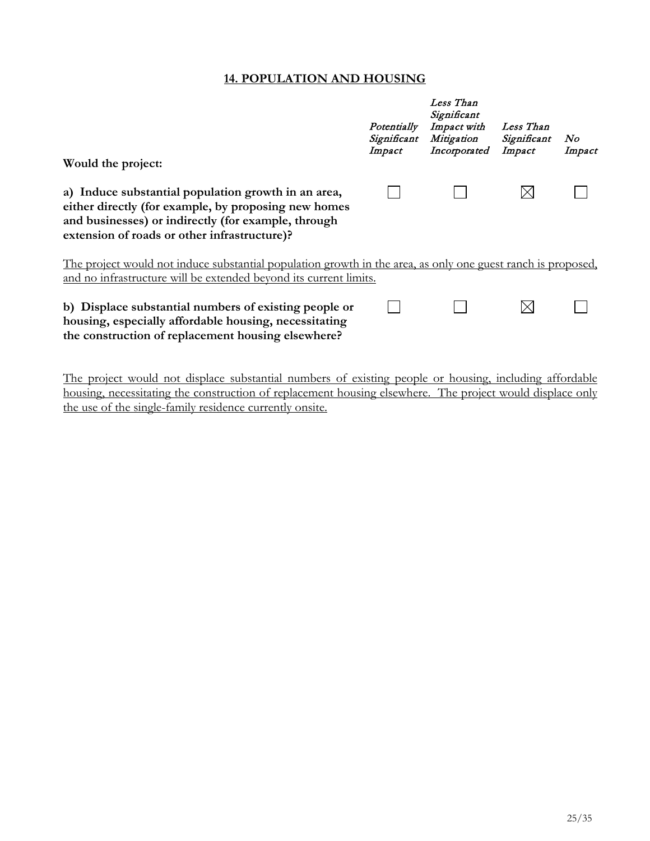## **14. POPULATION AND HOUSING**

| Would the project:                                                                                                                                                                                                 | Potentially<br>Significant<br>Impact | Less Than<br>Significant<br>Impact with<br>Mitigation<br>Incorporated | Less Than<br>Significant<br>Impact | No<br>Impact |
|--------------------------------------------------------------------------------------------------------------------------------------------------------------------------------------------------------------------|--------------------------------------|-----------------------------------------------------------------------|------------------------------------|--------------|
| a) Induce substantial population growth in an area,<br>either directly (for example, by proposing new homes<br>and businesses) or indirectly (for example, through<br>extension of roads or other infrastructure)? |                                      |                                                                       |                                    |              |
| The project would not induce substantial population growth in the area, as only one guest ranch is proposed,<br>and no infrastructure will be extended beyond its current limits.                                  |                                      |                                                                       |                                    |              |
| b) Displace substantial numbers of existing people or<br>housing, especially affordable housing, necessitating<br>the construction of replacement housing elsewhere?                                               |                                      |                                                                       |                                    |              |

The project would not displace substantial numbers of existing people or housing, including affordable housing, necessitating the construction of replacement housing elsewhere. The project would displace only the use of the single-family residence currently onsite.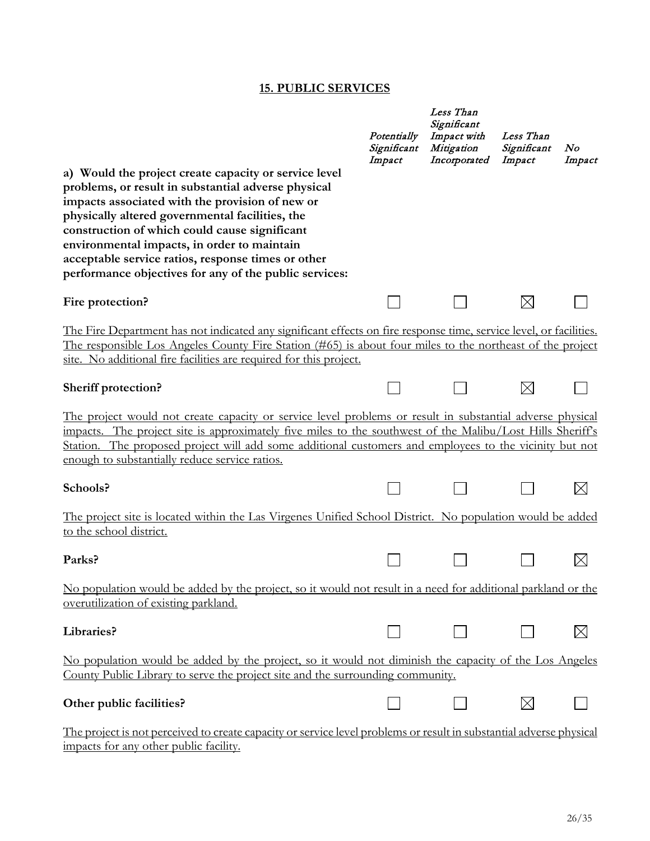#### **15. PUBLIC SERVICES**

|                                                                                                                                                                                                                                                                                                                                                                                                                                    | Potentially<br>Significant<br>Impact | Less Than<br>Significant<br>Impact with<br>Mitigation<br>Incorporated | Less Than<br>Significant<br>Impact | No<br>Impact |
|------------------------------------------------------------------------------------------------------------------------------------------------------------------------------------------------------------------------------------------------------------------------------------------------------------------------------------------------------------------------------------------------------------------------------------|--------------------------------------|-----------------------------------------------------------------------|------------------------------------|--------------|
| a) Would the project create capacity or service level<br>problems, or result in substantial adverse physical<br>impacts associated with the provision of new or<br>physically altered governmental facilities, the<br>construction of which could cause significant<br>environmental impacts, in order to maintain<br>acceptable service ratios, response times or other<br>performance objectives for any of the public services: |                                      |                                                                       |                                    |              |
| Fire protection?                                                                                                                                                                                                                                                                                                                                                                                                                   |                                      |                                                                       |                                    |              |
| The Fire Department has not indicated any significant effects on fire response time, service level, or facilities.<br>The responsible Los Angeles County Fire Station (#65) is about four miles to the northeast of the project<br>site. No additional fire facilities are required for this project.                                                                                                                              |                                      |                                                                       |                                    |              |
| <b>Sheriff protection?</b>                                                                                                                                                                                                                                                                                                                                                                                                         |                                      |                                                                       | $\times$                           |              |
| The project would not create capacity or service level problems or result in substantial adverse physical<br>impacts. The project site is approximately five miles to the southwest of the Malibu/Lost Hills Sheriff's<br>Station. The proposed project will add some additional customers and employees to the vicinity but not<br>enough to substantially reduce service ratios.                                                 |                                      |                                                                       |                                    |              |
| Schools?                                                                                                                                                                                                                                                                                                                                                                                                                           |                                      |                                                                       |                                    | $\times$     |
| <u>The project site is located within the Las Virgenes Unified School District. No population would be added</u><br>to the school district.                                                                                                                                                                                                                                                                                        |                                      |                                                                       |                                    |              |
| Parks?                                                                                                                                                                                                                                                                                                                                                                                                                             |                                      |                                                                       |                                    |              |
| No population would be added by the project, so it would not result in a need for additional parkland or the<br>overutilization of existing parkland.                                                                                                                                                                                                                                                                              |                                      |                                                                       |                                    |              |
| Libraries?                                                                                                                                                                                                                                                                                                                                                                                                                         |                                      |                                                                       |                                    | $\boxtimes$  |
| No population would be added by the project, so it would not diminish the capacity of the Los Angeles<br>County Public Library to serve the project site and the surrounding community.                                                                                                                                                                                                                                            |                                      |                                                                       |                                    |              |
| Other public facilities?                                                                                                                                                                                                                                                                                                                                                                                                           |                                      |                                                                       |                                    |              |
| The project is not perceived to create capacity or service level problems or result in substantial adverse physical<br>impacts for any other public facility.                                                                                                                                                                                                                                                                      |                                      |                                                                       |                                    |              |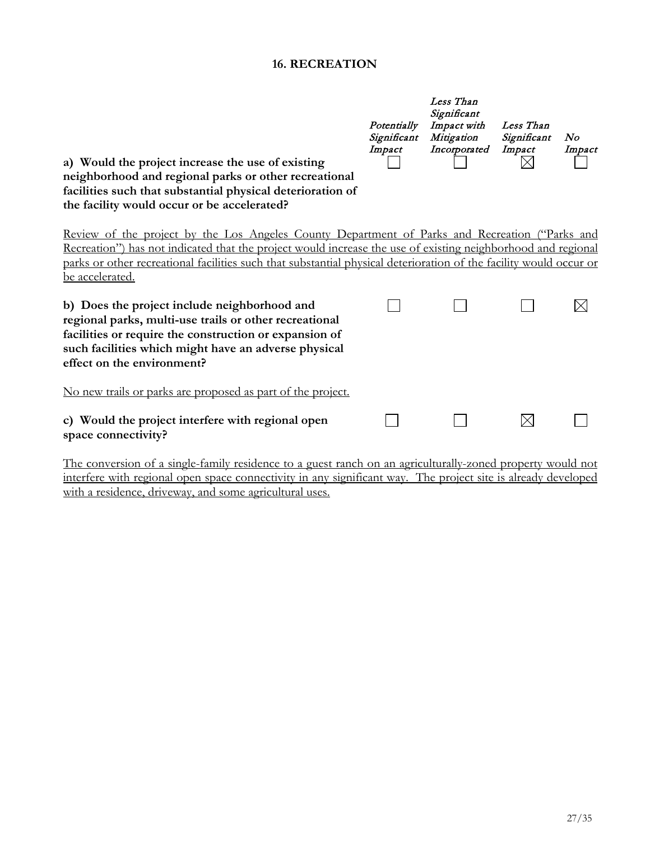### **16. RECREATION**

| a) Would the project increase the use of existing<br>neighborhood and regional parks or other recreational<br>facilities such that substantial physical deterioration of<br>the facility would occur or be accelerated?                                                                                                                                 | Potentially<br>Significant<br>Impact | Less Than<br>Significant<br>Impact with<br>Mitigation<br>Incorporated | Less Than<br>Significant<br>Impact | N o<br>Impact |
|---------------------------------------------------------------------------------------------------------------------------------------------------------------------------------------------------------------------------------------------------------------------------------------------------------------------------------------------------------|--------------------------------------|-----------------------------------------------------------------------|------------------------------------|---------------|
| Review of the project by the Los Angeles County Department of Parks and Recreation ("Parks and<br>Recreation") has not indicated that the project would increase the use of existing neighborhood and regional<br>parks or other recreational facilities such that substantial physical deterioration of the facility would occur or<br>be accelerated. |                                      |                                                                       |                                    |               |
| b) Does the project include neighborhood and<br>regional parks, multi-use trails or other recreational<br>facilities or require the construction or expansion of<br>such facilities which might have an adverse physical<br>effect on the environment?                                                                                                  |                                      |                                                                       |                                    | $\times$      |
| No new trails or parks are proposed as part of the project.                                                                                                                                                                                                                                                                                             |                                      |                                                                       |                                    |               |
| c) Would the project interfere with regional open<br>space connectivity?                                                                                                                                                                                                                                                                                |                                      |                                                                       | $\boxtimes$                        |               |
| The conversion of a single-family residence to a guest ranch on an agriculturally-zoned property would not<br>interfere with regional open space connectivity in any significant way. The project site is already developed                                                                                                                             |                                      |                                                                       |                                    |               |

with a residence, driveway, and some agricultural uses.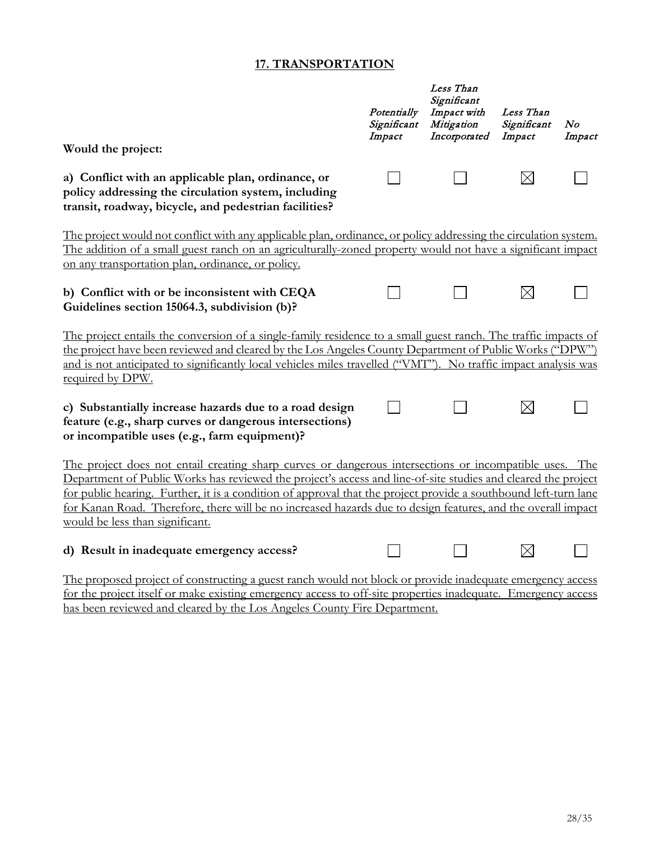#### **17. TRANSPORTATION**

| Would the project:                                                                                                                                                                                                                                                                                                                                                                                                                                                                            | Potentially<br>Significant<br>Impact | Less Than<br>Significant<br>Impact with<br>Mitigation<br>Incorporated | Less Than<br>Significant<br>Impact | N o<br>Impact |
|-----------------------------------------------------------------------------------------------------------------------------------------------------------------------------------------------------------------------------------------------------------------------------------------------------------------------------------------------------------------------------------------------------------------------------------------------------------------------------------------------|--------------------------------------|-----------------------------------------------------------------------|------------------------------------|---------------|
|                                                                                                                                                                                                                                                                                                                                                                                                                                                                                               |                                      |                                                                       |                                    |               |
| a) Conflict with an applicable plan, ordinance, or<br>policy addressing the circulation system, including<br>transit, roadway, bicycle, and pedestrian facilities?                                                                                                                                                                                                                                                                                                                            |                                      |                                                                       | $\times$                           |               |
| The project would not conflict with any applicable plan, ordinance, or policy addressing the circulation system.                                                                                                                                                                                                                                                                                                                                                                              |                                      |                                                                       |                                    |               |
| The addition of a small guest ranch on an agriculturally-zoned property would not have a significant impact                                                                                                                                                                                                                                                                                                                                                                                   |                                      |                                                                       |                                    |               |
| on any transportation plan, ordinance, or policy.                                                                                                                                                                                                                                                                                                                                                                                                                                             |                                      |                                                                       |                                    |               |
| b) Conflict with or be inconsistent with CEQA<br>Guidelines section 15064.3, subdivision (b)?                                                                                                                                                                                                                                                                                                                                                                                                 |                                      |                                                                       | $\times$                           |               |
| The project entails the conversion of a single-family residence to a small guest ranch. The traffic impacts of<br>the project have been reviewed and cleared by the Los Angeles County Department of Public Works ("DPW")<br>and is not anticipated to significantly local vehicles miles travelled ("VMT"). No traffic impact analysis was<br>required by DPW.                                                                                                                               |                                      |                                                                       |                                    |               |
| c) Substantially increase hazards due to a road design<br>feature (e.g., sharp curves or dangerous intersections)<br>or incompatible uses (e.g., farm equipment)?                                                                                                                                                                                                                                                                                                                             |                                      |                                                                       | $\boxtimes$                        |               |
| The project does not entail creating sharp curves or dangerous intersections or incompatible uses. The<br>Department of Public Works has reviewed the project's access and line-of-site studies and cleared the project<br>for public hearing. Further, it is a condition of approval that the project provide a southbound left-turn lane<br>for Kanan Road. Therefore, there will be no increased hazards due to design features, and the overall impact<br>would be less than significant. |                                      |                                                                       |                                    |               |
| d) Result in inadequate emergency access?                                                                                                                                                                                                                                                                                                                                                                                                                                                     |                                      |                                                                       |                                    |               |
| The proposed project of constructing a guest ranch would not block or provide inadequate emergency access                                                                                                                                                                                                                                                                                                                                                                                     | $\sim$ $\sim$                        |                                                                       |                                    |               |

for the project itself or make existing emergency access to off-site properties inadequate. Emergency access has been reviewed and cleared by the Los Angeles County Fire Department.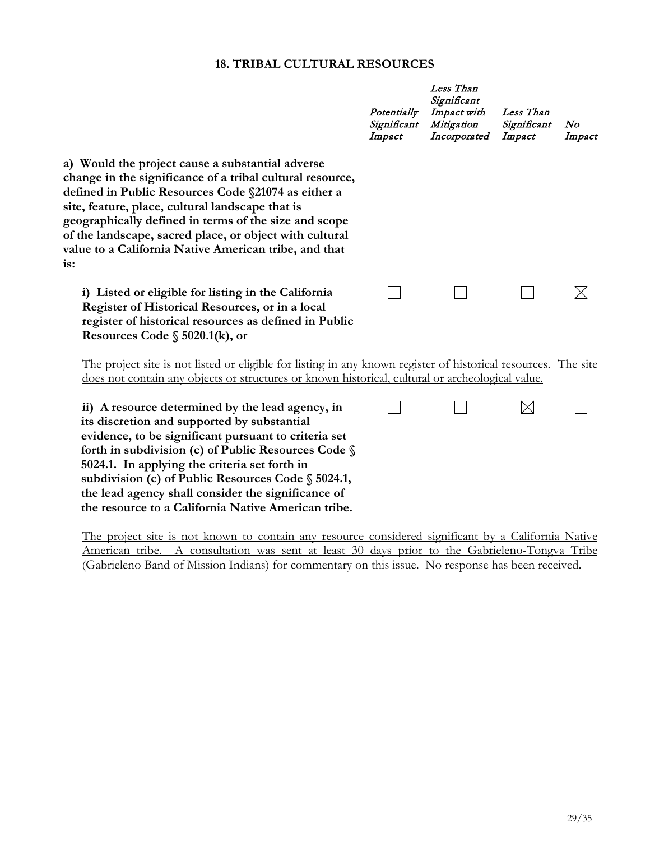#### **18. TRIBAL CULTURAL RESOURCES**

|                                                                                                                                                                                                                                                                                                                                                                                                                                               | Potentially<br>Significant<br>Impact | Less Than<br>Significant<br>Impact with<br>Mitigation<br>Incorporated | Less Than<br>Significant<br>Impact | $N$ o<br>Impact |
|-----------------------------------------------------------------------------------------------------------------------------------------------------------------------------------------------------------------------------------------------------------------------------------------------------------------------------------------------------------------------------------------------------------------------------------------------|--------------------------------------|-----------------------------------------------------------------------|------------------------------------|-----------------|
| a) Would the project cause a substantial adverse<br>change in the significance of a tribal cultural resource,<br>defined in Public Resources Code §21074 as either a<br>site, feature, place, cultural landscape that is<br>geographically defined in terms of the size and scope<br>of the landscape, sacred place, or object with cultural<br>value to a California Native American tribe, and that<br>is:                                  |                                      |                                                                       |                                    |                 |
| i) Listed or eligible for listing in the California<br>Register of Historical Resources, or in a local<br>register of historical resources as defined in Public<br>Resources Code $\S$ 5020.1(k), or                                                                                                                                                                                                                                          |                                      |                                                                       |                                    |                 |
| <u>The project site is not listed or eligible for listing in any known register of historical resources. The site</u><br>does not contain any objects or structures or known historical, cultural or archeological value.                                                                                                                                                                                                                     |                                      |                                                                       |                                    |                 |
| ii) A resource determined by the lead agency, in<br>its discretion and supported by substantial<br>evidence, to be significant pursuant to criteria set<br>forth in subdivision (c) of Public Resources Code $\mathcal S$<br>5024.1. In applying the criteria set forth in<br>subdivision (c) of Public Resources Code § 5024.1,<br>the lead agency shall consider the significance of<br>the resource to a California Native American tribe. |                                      |                                                                       | $\boxtimes$                        |                 |
| The preject air is not trouve to contain ony resource considered significant by a Colifornia Nature                                                                                                                                                                                                                                                                                                                                           |                                      |                                                                       |                                    |                 |

The project site is not known to contain any resource considered significant by a California Native American tribe. A consultation was sent at least 30 days prior to the Gabrieleno-Tongva Tribe (Gabrieleno Band of Mission Indians) for commentary on this issue. No response has been received.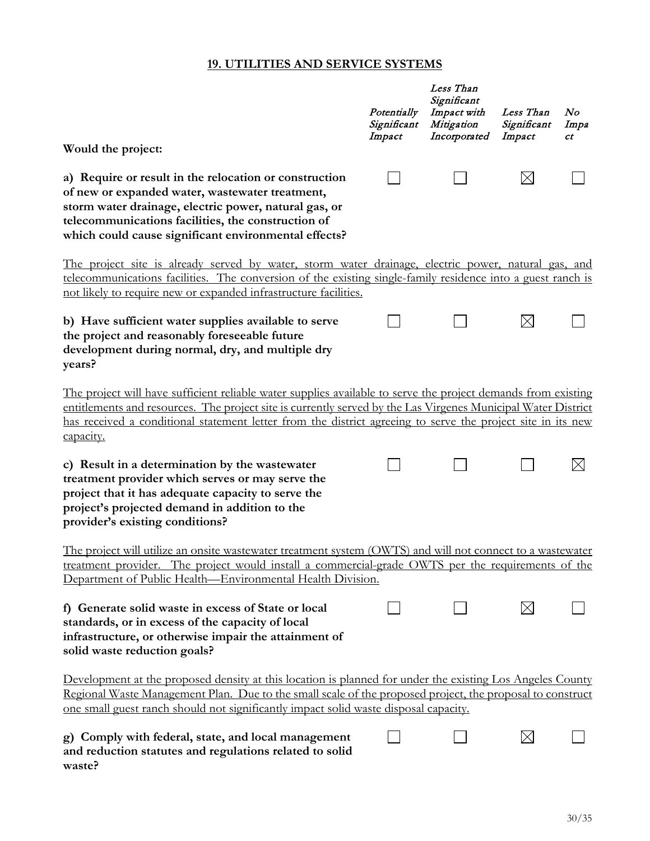#### **19. UTILITIES AND SERVICE SYSTEMS**

|                                                                                                                                                                                                                                                                                                                                                            | Potentially<br>Significant<br>Impact | Less Than<br>Significant<br>Impact with<br>Mitigation<br>Incorporated | Less Than<br>Significant<br>Impact | N o<br>Impa<br>ct |
|------------------------------------------------------------------------------------------------------------------------------------------------------------------------------------------------------------------------------------------------------------------------------------------------------------------------------------------------------------|--------------------------------------|-----------------------------------------------------------------------|------------------------------------|-------------------|
| Would the project:                                                                                                                                                                                                                                                                                                                                         |                                      |                                                                       |                                    |                   |
| a) Require or result in the relocation or construction<br>of new or expanded water, wastewater treatment,<br>storm water drainage, electric power, natural gas, or<br>telecommunications facilities, the construction of<br>which could cause significant environmental effects?                                                                           |                                      |                                                                       | $\boxtimes$                        |                   |
| The project site is already served by water, storm water drainage, electric power, natural gas, and                                                                                                                                                                                                                                                        |                                      |                                                                       |                                    |                   |
| telecommunications facilities. The conversion of the existing single-family residence into a guest ranch is<br>not likely to require new or expanded infrastructure facilities.                                                                                                                                                                            |                                      |                                                                       |                                    |                   |
| b) Have sufficient water supplies available to serve<br>the project and reasonably foreseeable future<br>development during normal, dry, and multiple dry<br>years?                                                                                                                                                                                        |                                      |                                                                       | $\boxtimes$                        |                   |
| The project will have sufficient reliable water supplies available to serve the project demands from existing<br>entitlements and resources. The project site is currently served by the Las Virgenes Municipal Water District<br>has received a conditional statement letter from the district agreeing to serve the project site in its new<br>capacity. |                                      |                                                                       |                                    |                   |
| c) Result in a determination by the wastewater<br>treatment provider which serves or may serve the<br>project that it has adequate capacity to serve the<br>project's projected demand in addition to the<br>provider's existing conditions?                                                                                                               |                                      |                                                                       |                                    |                   |
| The project will utilize an onsite wastewater treatment system (OWTS) and will not connect to a wastewater<br><u>treatment provider. The project would install a commercial-grade OWTS per the requirements of the</u><br>Department of Public Health—Environmental Health Division.                                                                       |                                      |                                                                       |                                    |                   |
| f) Generate solid waste in excess of State or local<br>standards, or in excess of the capacity of local<br>infrastructure, or otherwise impair the attainment of<br>solid waste reduction goals?                                                                                                                                                           |                                      |                                                                       | $\boxtimes$                        |                   |
| Development at the proposed density at this location is planned for under the existing Los Angeles County<br>Regional Waste Management Plan. Due to the small scale of the proposed project, the proposal to construct<br>one small guest ranch should not significantly impact solid waste disposal capacity.                                             |                                      |                                                                       |                                    |                   |
| g) Comply with federal, state, and local management<br>and reduction statutes and regulations related to solid<br>waste?                                                                                                                                                                                                                                   |                                      |                                                                       | $\times$                           |                   |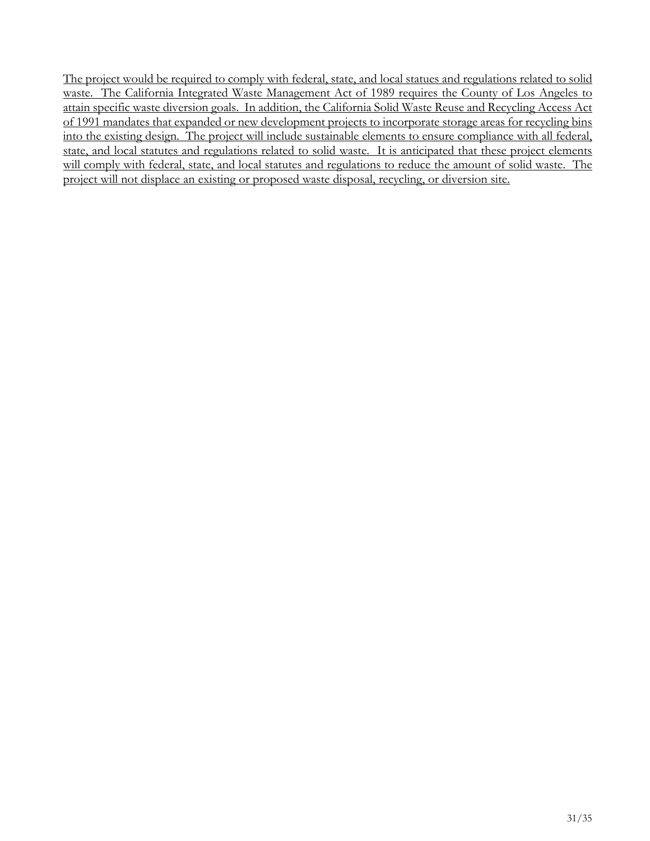The project would be required to comply with federal, state, and local statues and regulations related to solid waste. The California Integrated Waste Management Act of 1989 requires the County of Los Angeles to attain specific waste diversion goals. In addition, the California Solid Waste Reuse and Recycling Access Act of 1991 mandates that expanded or new development projects to incorporate storage areas for recycling bins into the existing design. The project will include sustainable elements to ensure compliance with all federal, state, and local statutes and regulations related to solid waste. It is anticipated that these project elements will comply with federal, state, and local statutes and regulations to reduce the amount of solid waste. The project will not displace an existing or proposed waste disposal, recycling, or diversion site.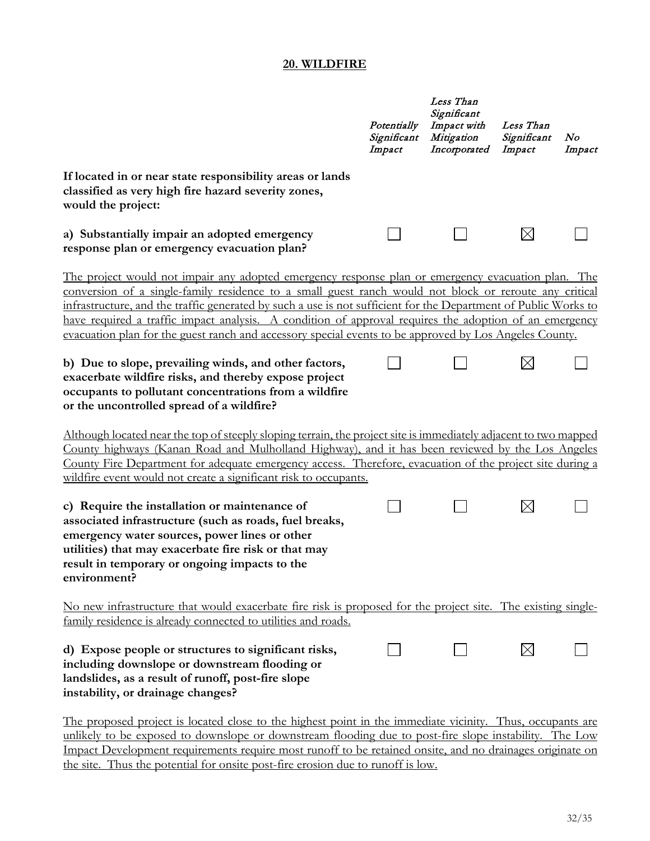#### **20. WILDFIRE**

|                                                                                                                                                                                                                                                                                                                                                                                                                                                                                                                                                     | Potentially<br>Significant<br>Impact | Less Than<br>Significant<br>Impact with<br>Mitigation<br>Incorporated | Less Than<br>Significant<br>Impact | No<br>Impact |
|-----------------------------------------------------------------------------------------------------------------------------------------------------------------------------------------------------------------------------------------------------------------------------------------------------------------------------------------------------------------------------------------------------------------------------------------------------------------------------------------------------------------------------------------------------|--------------------------------------|-----------------------------------------------------------------------|------------------------------------|--------------|
| If located in or near state responsibility areas or lands<br>classified as very high fire hazard severity zones,<br>would the project:                                                                                                                                                                                                                                                                                                                                                                                                              |                                      |                                                                       |                                    |              |
| a) Substantially impair an adopted emergency<br>response plan or emergency evacuation plan?                                                                                                                                                                                                                                                                                                                                                                                                                                                         |                                      |                                                                       | $\boxtimes$                        |              |
| The project would not impair any adopted emergency response plan or emergency evacuation plan. The<br>conversion of a single-family residence to a small guest ranch would not block or reroute any critical<br>infrastructure, and the traffic generated by such a use is not sufficient for the Department of Public Works to<br>have required a traffic impact analysis. A condition of approval requires the adoption of an emergency<br>evacuation plan for the guest ranch and accessory special events to be approved by Los Angeles County. |                                      |                                                                       |                                    |              |
| b) Due to slope, prevailing winds, and other factors,<br>exacerbate wildfire risks, and thereby expose project<br>occupants to pollutant concentrations from a wildfire<br>or the uncontrolled spread of a wildfire?                                                                                                                                                                                                                                                                                                                                |                                      |                                                                       |                                    |              |
| Although located near the top of steeply sloping terrain, the project site is immediately adjacent to two mapped<br>County highways (Kanan Road and Mulholland Highway), and it has been reviewed by the Los Angeles<br>County Fire Department for adequate emergency access. Therefore, evacuation of the project site during a<br>wildfire event would not create a significant risk to occupants.                                                                                                                                                |                                      |                                                                       |                                    |              |
| c) Require the installation or maintenance of<br>associated infrastructure (such as roads, fuel breaks,<br>emergency water sources, power lines or other<br>utilities) that may exacerbate fire risk or that may<br>result in temporary or ongoing impacts to the<br>environment?                                                                                                                                                                                                                                                                   |                                      |                                                                       | $\boxtimes$                        |              |
| No new infrastructure that would exacerbate fire risk is proposed for the project site. The existing single-<br>family residence is already connected to utilities and roads.                                                                                                                                                                                                                                                                                                                                                                       |                                      |                                                                       |                                    |              |
| d) Expose people or structures to significant risks,<br>including downslope or downstream flooding or<br>landslides, as a result of runoff, post-fire slope<br>instability, or drainage changes?                                                                                                                                                                                                                                                                                                                                                    |                                      |                                                                       | $\boxtimes$                        |              |
| The proposed project is located close to the highest point in the immediate vicinity. Thus, occupants are                                                                                                                                                                                                                                                                                                                                                                                                                                           |                                      |                                                                       |                                    |              |

unlikely to be exposed to downslope or downstream flooding due to post-fire slope instability. The Low Impact Development requirements require most runoff to be retained onsite, and no drainages originate on the site. Thus the potential for onsite post-fire erosion due to runoff is low.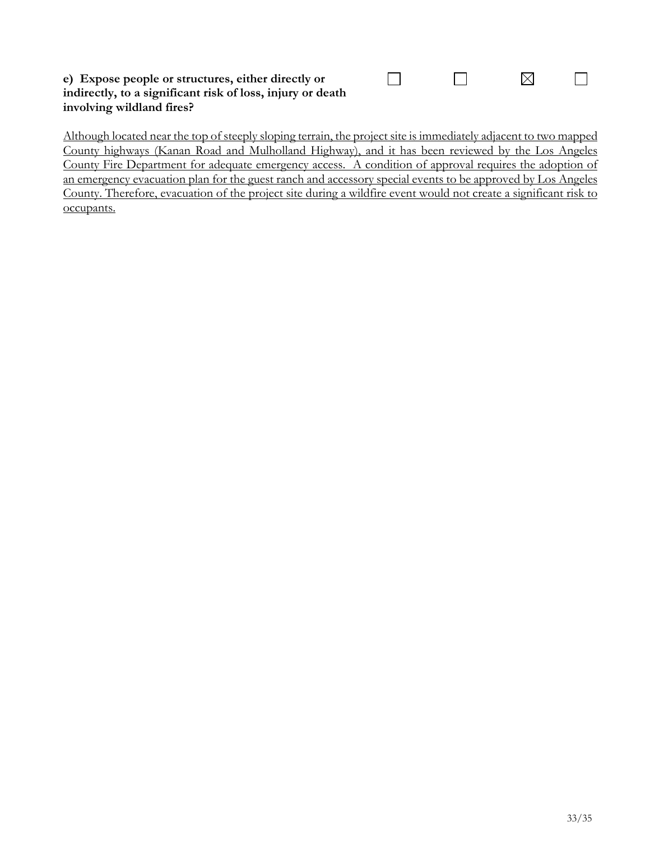#### **e) Expose people or structures, either directly or indirectly, to a significant risk of loss, injury or death involving wildland fires?**

Although located near the top of steeply sloping terrain, the project site is immediately adjacent to two mapped County highways (Kanan Road and Mulholland Highway), and it has been reviewed by the Los Angeles County Fire Department for adequate emergency access. A condition of approval requires the adoption of an emergency evacuation plan for the guest ranch and accessory special events to be approved by Los Angeles County. Therefore, evacuation of the project site during a wildfire event would not create a significant risk to occupants.

 $\Box$ 

 $\boxtimes$ 

 $\Box$ 

 $\Box$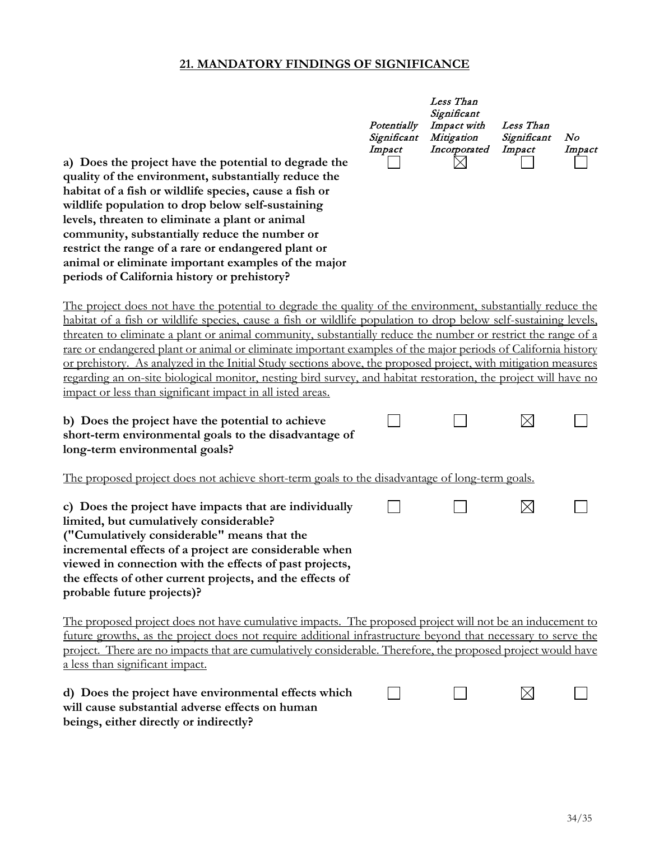#### **21. MANDATORY FINDINGS OF SIGNIFICANCE**

| a) Does the project have the potential to degrade the<br>quality of the environment, substantially reduce the<br>habitat of a fish or wildlife species, cause a fish or<br>wildlife population to drop below self-sustaining<br>levels, threaten to eliminate a plant or animal<br>community, substantially reduce the number or<br>restrict the range of a rare or endangered plant or<br>animal or eliminate important examples of the major<br>periods of California history or prehistory?                                                                                                                                                                                                                                                                              | Potentially<br>Significant<br>Impact | Less Than<br>Significant<br>Impact with<br>Mitigation<br>Incorporated | Less Than<br>Significant<br>Impact | N o<br>Impact |
|-----------------------------------------------------------------------------------------------------------------------------------------------------------------------------------------------------------------------------------------------------------------------------------------------------------------------------------------------------------------------------------------------------------------------------------------------------------------------------------------------------------------------------------------------------------------------------------------------------------------------------------------------------------------------------------------------------------------------------------------------------------------------------|--------------------------------------|-----------------------------------------------------------------------|------------------------------------|---------------|
| <u>The project does not have the potential to degrade the quality of the environment, substantially reduce the</u><br>habitat of a fish or wildlife species, cause a fish or wildlife population to drop below self-sustaining levels,<br>threaten to eliminate a plant or animal community, substantially reduce the number or restrict the range of a<br>rare or endangered plant or animal or eliminate important examples of the major periods of California history<br>or prehistory. As analyzed in the Initial Study sections above, the proposed project, with mitigation measures<br>regarding an on-site biological monitor, nesting bird survey, and habitat restoration, the project will have no<br>impact or less than significant impact in all isted areas. |                                      |                                                                       |                                    |               |
| b) Does the project have the potential to achieve<br>short-term environmental goals to the disadvantage of<br>long-term environmental goals?                                                                                                                                                                                                                                                                                                                                                                                                                                                                                                                                                                                                                                |                                      |                                                                       | $\boxtimes$                        |               |
| <u>The proposed project does not achieve short-term goals to the disadvantage of long-term goals.</u>                                                                                                                                                                                                                                                                                                                                                                                                                                                                                                                                                                                                                                                                       |                                      |                                                                       |                                    |               |
| c) Does the project have impacts that are individually<br>limited, but cumulatively considerable?<br>("Cumulatively considerable" means that the<br>incremental effects of a project are considerable when<br>viewed in connection with the effects of past projects,<br>the effects of other current projects, and the effects of<br>probable future projects)?                                                                                                                                                                                                                                                                                                                                                                                                            |                                      |                                                                       | $\boxtimes$                        |               |
| <u>The proposed project does not have cumulative impacts. The proposed project will not be an inducement to</u><br>future growths, as the project does not require additional infrastructure beyond that necessary to serve the<br>project. There are no impacts that are cumulatively considerable. Therefore, the proposed project would have<br>a less than significant impact.                                                                                                                                                                                                                                                                                                                                                                                          |                                      |                                                                       |                                    |               |
| d) Does the project have environmental effects which<br>will cause substantial adverse effects on human<br>beings, either directly or indirectly?                                                                                                                                                                                                                                                                                                                                                                                                                                                                                                                                                                                                                           |                                      |                                                                       | $\boxtimes$                        |               |